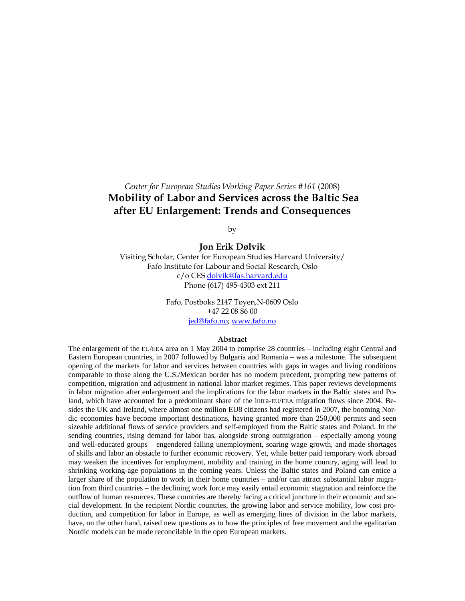# *Center for European Studies Working Paper Series #161* (2008)  **Mobility of Labor and Services across the Baltic Sea after EU Enlargement: Trends and Consequences**

by

# **Jon Erik Dølvik**

Visiting Scholar, Center for European Studies Harvard University/ Fafo Institute for Labour and Social Research, Oslo c/o CES dolvik@fas.harvard.edu Phone (617) 495-4303 ext 211

> Fafo, Postboks 2147 Tøyen,N-0609 Oslo +47 22 08 86 00 jed@fafo.no; www.fafo.no

#### **Abstract**

The enlargement of the EU/EEA area on 1 May 2004 to comprise 28 countries – including eight Central and Eastern European countries, in 2007 followed by Bulgaria and Romania – was a milestone. The subsequent opening of the markets for labor and services between countries with gaps in wages and living conditions comparable to those along the U.S./Mexican border has no modern precedent, prompting new patterns of competition, migration and adjustment in national labor market regimes. This paper reviews developments in labor migration after enlargement and the implications for the labor markets in the Baltic states and Poland, which have accounted for a predominant share of the intra-EU/EEA migration flows since 2004. Besides the UK and Ireland, where almost one million EU8 citizens had registered in 2007, the booming Nordic economies have become important destinations, having granted more than 250,000 permits and seen sizeable additional flows of service providers and self-employed from the Baltic states and Poland. In the sending countries, rising demand for labor has, alongside strong outmigration – especially among young and well-educated groups – engendered falling unemployment, soaring wage growth, and made shortages of skills and labor an obstacle to further economic recovery. Yet, while better paid temporary work abroad may weaken the incentives for employment, mobility and training in the home country, aging will lead to shrinking working-age populations in the coming years. Unless the Baltic states and Poland can entice a larger share of the population to work in their home countries – and/or can attract substantial labor migration from third countries – the declining work force may easily entail economic stagnation and reinforce the outflow of human resources. These countries are thereby facing a critical juncture in their economic and social development. In the recipient Nordic countries, the growing labor and service mobility, low cost production, and competition for labor in Europe, as well as emerging lines of division in the labor markets, have, on the other hand, raised new questions as to how the principles of free movement and the egalitarian Nordic models can be made reconcilable in the open European markets.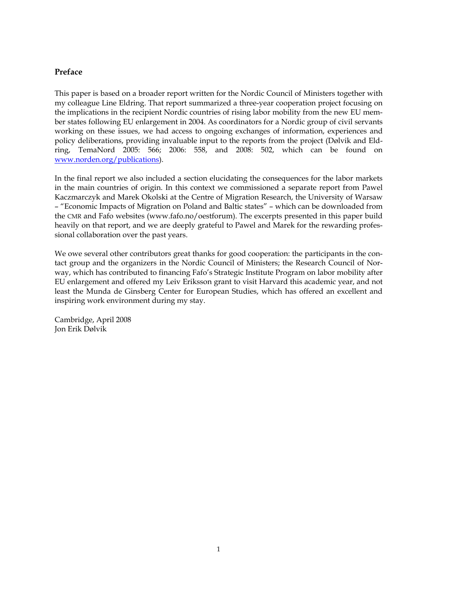# **Preface**

This paper is based on a broader report written for the Nordic Council of Ministers together with my colleague Line Eldring. That report summarized a three-year cooperation project focusing on the implications in the recipient Nordic countries of rising labor mobility from the new EU member states following EU enlargement in 2004. As coordinators for a Nordic group of civil servants working on these issues, we had access to ongoing exchanges of information, experiences and policy deliberations, providing invaluable input to the reports from the project (Dølvik and Eldring, TemaNord 2005: 566; 2006: 558, and 2008: 502, which can be found on www.norden.org/publications).

In the final report we also included a section elucidating the consequences for the labor markets in the main countries of origin. In this context we commissioned a separate report from Pawel Kaczmarczyk and Marek Okolski at the Centre of Migration Research, the University of Warsaw – "Economic Impacts of Migration on Poland and Baltic states" – which can be downloaded from the CMR and Fafo websites (www.fafo.no/oestforum). The excerpts presented in this paper build heavily on that report, and we are deeply grateful to Pawel and Marek for the rewarding professional collaboration over the past years.

We owe several other contributors great thanks for good cooperation: the participants in the contact group and the organizers in the Nordic Council of Ministers; the Research Council of Norway, which has contributed to financing Fafo's Strategic Institute Program on labor mobility after EU enlargement and offered my Leiv Eriksson grant to visit Harvard this academic year, and not least the Munda de Ginsberg Center for European Studies, which has offered an excellent and inspiring work environment during my stay.

Cambridge, April 2008 Jon Erik Dølvik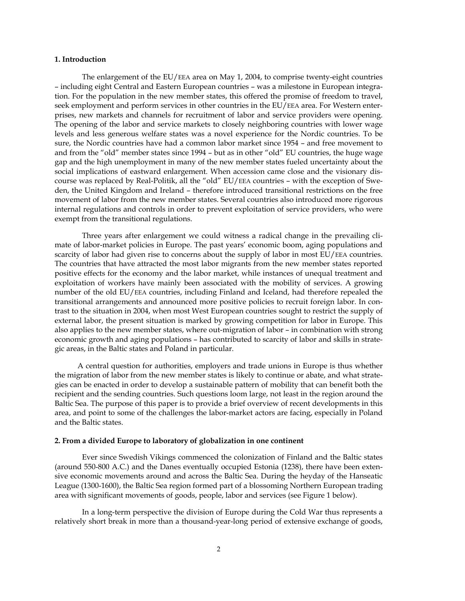# **1. Introduction**

 The enlargement of the EU/EEA area on May 1, 2004, to comprise twenty-eight countries – including eight Central and Eastern European countries – was a milestone in European integration. For the population in the new member states, this offered the promise of freedom to travel, seek employment and perform services in other countries in the EU/EEA area. For Western enterprises, new markets and channels for recruitment of labor and service providers were opening. The opening of the labor and service markets to closely neighboring countries with lower wage levels and less generous welfare states was a novel experience for the Nordic countries. To be sure, the Nordic countries have had a common labor market since 1954 – and free movement to and from the "old" member states since 1994 – but as in other "old" EU countries, the huge wage gap and the high unemployment in many of the new member states fueled uncertainty about the social implications of eastward enlargement. When accession came close and the visionary discourse was replaced by Real-Politik, all the "old" EU/EEA countries – with the exception of Sweden, the United Kingdom and Ireland – therefore introduced transitional restrictions on the free movement of labor from the new member states. Several countries also introduced more rigorous internal regulations and controls in order to prevent exploitation of service providers, who were exempt from the transitional regulations.

 Three years after enlargement we could witness a radical change in the prevailing climate of labor-market policies in Europe. The past years' economic boom, aging populations and scarcity of labor had given rise to concerns about the supply of labor in most EU/EEA countries. The countries that have attracted the most labor migrants from the new member states reported positive effects for the economy and the labor market, while instances of unequal treatment and exploitation of workers have mainly been associated with the mobility of services. A growing number of the old EU/EEA countries, including Finland and Iceland, had therefore repealed the transitional arrangements and announced more positive policies to recruit foreign labor. In contrast to the situation in 2004, when most West European countries sought to restrict the supply of external labor, the present situation is marked by growing competition for labor in Europe. This also applies to the new member states, where out-migration of labor – in combination with strong economic growth and aging populations – has contributed to scarcity of labor and skills in strategic areas, in the Baltic states and Poland in particular.

 A central question for authorities, employers and trade unions in Europe is thus whether the migration of labor from the new member states is likely to continue or abate, and what strategies can be enacted in order to develop a sustainable pattern of mobility that can benefit both the recipient and the sending countries. Such questions loom large, not least in the region around the Baltic Sea. The purpose of this paper is to provide a brief overview of recent developments in this area, and point to some of the challenges the labor-market actors are facing, especially in Poland and the Baltic states.

#### **2. From a divided Europe to laboratory of globalization in one continent**

 Ever since Swedish Vikings commenced the colonization of Finland and the Baltic states (around 550-800 A.C.) and the Danes eventually occupied Estonia (1238), there have been extensive economic movements around and across the Baltic Sea. During the heyday of the Hanseatic League (1300-1600), the Baltic Sea region formed part of a blossoming Northern European trading area with significant movements of goods, people, labor and services (see Figure 1 below).

 In a long-term perspective the division of Europe during the Cold War thus represents a relatively short break in more than a thousand-year-long period of extensive exchange of goods,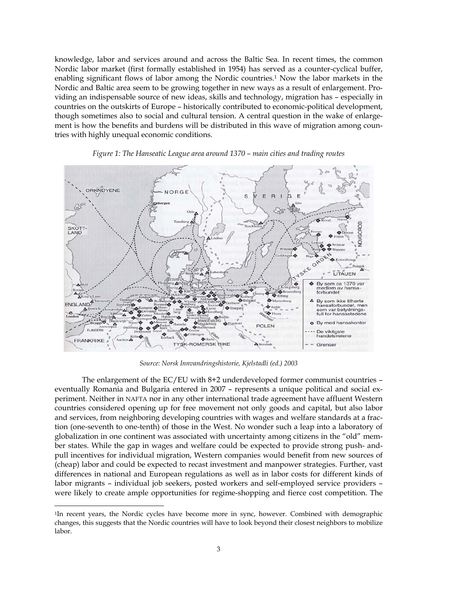knowledge, labor and services around and across the Baltic Sea. In recent times, the common Nordic labor market (first formally established in 1954) has served as a counter-cyclical buffer, enabling significant flows of labor among the Nordic countries.1 Now the labor markets in the Nordic and Baltic area seem to be growing together in new ways as a result of enlargement. Providing an indispensable source of new ideas, skills and technology, migration has – especially in countries on the outskirts of Europe – historically contributed to economic-political development, though sometimes also to social and cultural tension. A central question in the wake of enlargement is how the benefits and burdens will be distributed in this wave of migration among countries with highly unequal economic conditions.



*Figure 1: The Hanseatic League area around 1370 – main cities and trading routes* 

*Source: Norsk Innvandringshistorie, Kjelstadli (ed.) 2003*

 The enlargement of the EC/EU with 8+2 underdeveloped former communist countries – eventually Romania and Bulgaria entered in 2007 – represents a unique political and social experiment. Neither in NAFTA nor in any other international trade agreement have affluent Western countries considered opening up for free movement not only goods and capital, but also labor and services, from neighboring developing countries with wages and welfare standards at a fraction (one-seventh to one-tenth) of those in the West. No wonder such a leap into a laboratory of globalization in one continent was associated with uncertainty among citizens in the "old" member states. While the gap in wages and welfare could be expected to provide strong push- andpull incentives for individual migration, Western companies would benefit from new sources of (cheap) labor and could be expected to recast investment and manpower strategies. Further, vast differences in national and European regulations as well as in labor costs for different kinds of labor migrants – individual job seekers, posted workers and self-employed service providers – were likely to create ample opportunities for regime-shopping and fierce cost competition. The

<sup>&</sup>lt;sup>1</sup>In recent years, the Nordic cycles have become more in sync, however. Combined with demographic changes, this suggests that the Nordic countries will have to look beyond their closest neighbors to mobilize labor.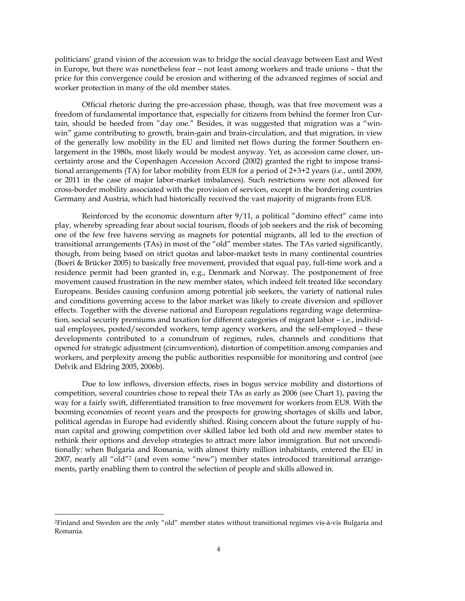politicians' grand vision of the accession was to bridge the social cleavage between East and West in Europe, but there was nonetheless fear – not least among workers and trade unions – that the price for this convergence could be erosion and withering of the advanced regimes of social and worker protection in many of the old member states.

Official rhetoric during the pre-accession phase, though, was that free movement was a freedom of fundamental importance that, especially for citizens from behind the former Iron Curtain, should be heeded from "day one." Besides, it was suggested that migration was a "winwin" game contributing to growth, brain-gain and brain-circulation, and that migration, in view of the generally low mobility in the EU and limited net flows during the former Southern enlargement in the 1980s, most likely would be modest anyway. Yet, as accession came closer, uncertainty arose and the Copenhagen Accession Accord (2002) granted the right to impose transitional arrangements (TA) for labor mobility from EU8 for a period of 2+3+2 years (i.e., until 2009, or 2011 in the case of major labor-market imbalances). Such restrictions were not allowed for cross-border mobility associated with the provision of services, except in the bordering countries Germany and Austria, which had historically received the vast majority of migrants from EU8.

Reinforced by the economic downturn after 9/11, a political "domino effect" came into play, whereby spreading fear about social tourism, floods of job seekers and the risk of becoming one of the few free havens serving as magnets for potential migrants, all led to the erection of transitional arrangements (TAs) in most of the "old" member states. The TAs varied significantly, though, from being based on strict quotas and labor-market tests in many continental countries (Boeri & Brücker 2005) to basically free movement, provided that equal pay, full-time work and a residence permit had been granted in, e.g., Denmark and Norway. The postponement of free movement caused frustration in the new member states, which indeed felt treated like secondary Europeans. Besides causing confusion among potential job seekers, the variety of national rules and conditions governing access to the labor market was likely to create diversion and spillover effects. Together with the diverse national and European regulations regarding wage determination, social security premiums and taxation for different categories of migrant labor – i.e., individual employees, posted/seconded workers, temp agency workers, and the self-employed – these developments contributed to a conundrum of regimes, rules, channels and conditions that opened for strategic adjustment (circumvention), distortion of competition among companies and workers, and perplexity among the public authorities responsible for monitoring and control (see Dølvik and Eldring 2005, 2006b).

Due to low inflows, diversion effects, rises in bogus service mobility and distortions of competition, several countries chose to repeal their TAs as early as 2006 (see Chart 1), paving the way for a fairly swift, differentiated transition to free movement for workers from EU8. With the booming economies of recent years and the prospects for growing shortages of skills and labor, political agendas in Europe had evidently shifted. Rising concern about the future supply of human capital and growing competition over skilled labor led both old and new member states to rethink their options and develop strategies to attract more labor immigration. But not unconditionally: when Bulgaria and Romania, with almost thirty million inhabitants, entered the EU in 2007, nearly all "old"2 (and even some "new") member states introduced transitional arrangements, partly enabling them to control the selection of people and skills allowed in.

<sup>2</sup>Finland and Sweden are the only "old" member states without transitional regimes vis-à-vis Bulgaria and Romania.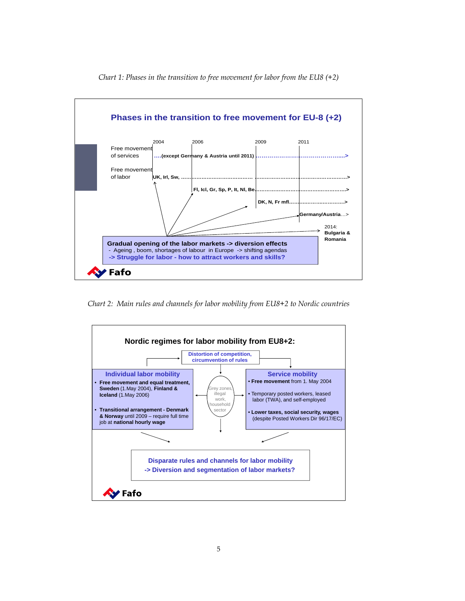

*Chart 1: Phases in the transition to free movement for labor from the EU8 (+2)* 

*Chart 2: Main rules and channels for labor mobility from EU8+2 to Nordic countries* 

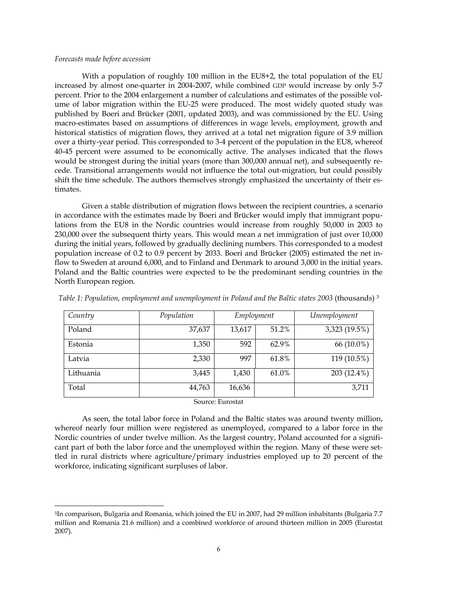#### *Forecasts made before accession*

 With a population of roughly 100 million in the EU8+2, the total population of the EU increased by almost one-quarter in 2004-2007, while combined GDP would increase by only 5-7 percent. Prior to the 2004 enlargement a number of calculations and estimates of the possible volume of labor migration within the EU-25 were produced. The most widely quoted study was published by Boeri and Brücker (2001, updated 2003), and was commissioned by the EU. Using macro-estimates based on assumptions of differences in wage levels, employment, growth and historical statistics of migration flows, they arrived at a total net migration figure of 3.9 million over a thirty-year period. This corresponded to 3-4 percent of the population in the EU8, whereof 40-45 percent were assumed to be economically active. The analyses indicated that the flows would be strongest during the initial years (more than 300,000 annual net), and subsequently recede. Transitional arrangements would not influence the total out-migration, but could possibly shift the time schedule. The authors themselves strongly emphasized the uncertainty of their estimates.

 Given a stable distribution of migration flows between the recipient countries, a scenario in accordance with the estimates made by Boeri and Brücker would imply that immigrant populations from the EU8 in the Nordic countries would increase from roughly 50,000 in 2003 to 230,000 over the subsequent thirty years. This would mean a net immigration of just over 10,000 during the initial years, followed by gradually declining numbers. This corresponded to a modest population increase of 0.2 to 0.9 percent by 2033. Boeri and Brücker (2005) estimated the net inflow to Sweden at around 6,000, and to Finland and Denmark to around 3,000 in the initial years. Poland and the Baltic countries were expected to be the predominant sending countries in the North European region.

| Country          | Population | Employment |       | Unemployment  |  |  |
|------------------|------------|------------|-------|---------------|--|--|
| Poland           | 37,637     | 13,617     | 51.2% | 3,323 (19.5%) |  |  |
| Estonia          | 1,350      | 592        | 62.9% | 66 (10.0%)    |  |  |
| Latvia           | 2,330      | 997        | 61.8% | 119 (10.5%)   |  |  |
| Lithuania        | 3,445      | 1,430      | 61.0% | 203 (12.4%)   |  |  |
| Total            | 44,763     | 16,636     |       | 3,711         |  |  |
| Source: Eurostat |            |            |       |               |  |  |

*Table 1: Population, employment and unemployment in Poland and the Baltic states 2003* (thousands) 3

 As seen, the total labor force in Poland and the Baltic states was around twenty million, whereof nearly four million were registered as unemployed, compared to a labor force in the Nordic countries of under twelve million. As the largest country, Poland accounted for a significant part of both the labor force and the unemployed within the region. Many of these were settled in rural districts where agriculture/primary industries employed up to 20 percent of the

workforce, indicating significant surpluses of labor.

<sup>&</sup>lt;sup>3</sup>In comparison, Bulgaria and Romania, which joined the EU in 2007, had 29 million inhabitants (Bulgaria 7.7 million and Romania 21.6 million) and a combined workforce of around thirteen million in 2005 (Eurostat 2007).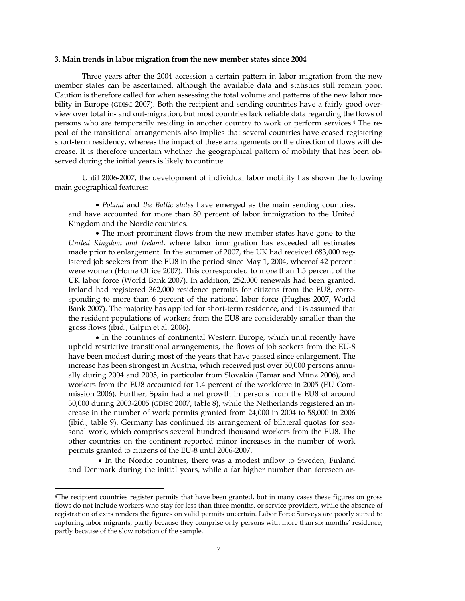#### **3. Main trends in labor migration from the new member states since 2004**

Three years after the 2004 accession a certain pattern in labor migration from the new member states can be ascertained, although the available data and statistics still remain poor. Caution is therefore called for when assessing the total volume and patterns of the new labor mobility in Europe (GDISC 2007). Both the recipient and sending countries have a fairly good overview over total in- and out-migration, but most countries lack reliable data regarding the flows of persons who are temporarily residing in another country to work or perform services.4 The repeal of the transitional arrangements also implies that several countries have ceased registering short-term residency, whereas the impact of these arrangements on the direction of flows will decrease. It is therefore uncertain whether the geographical pattern of mobility that has been observed during the initial years is likely to continue.

 Until 2006-2007, the development of individual labor mobility has shown the following main geographical features:

• *Poland* and *the Baltic states* have emerged as the main sending countries, and have accounted for more than 80 percent of labor immigration to the United Kingdom and the Nordic countries.

• The most prominent flows from the new member states have gone to the *United Kingdom and Ireland*, where labor immigration has exceeded all estimates made prior to enlargement. In the summer of 2007, the UK had received 683,000 registered job seekers from the EU8 in the period since May 1, 2004, whereof 42 percent were women (Home Office 2007). This corresponded to more than 1.5 percent of the UK labor force (World Bank 2007). In addition, 252,000 renewals had been granted. Ireland had registered 362,000 residence permits for citizens from the EU8, corresponding to more than 6 percent of the national labor force (Hughes 2007, World Bank 2007). The majority has applied for short-term residence, and it is assumed that the resident populations of workers from the EU8 are considerably smaller than the gross flows (ibid., Gilpin et al. 2006).

• In the countries of continental Western Europe, which until recently have upheld restrictive transitional arrangements, the flows of job seekers from the EU-8 have been modest during most of the years that have passed since enlargement. The increase has been strongest in Austria, which received just over 50,000 persons annually during 2004 and 2005, in particular from Slovakia (Tamar and Münz 2006), and workers from the EU8 accounted for 1.4 percent of the workforce in 2005 (EU Commission 2006). Further, Spain had a net growth in persons from the EU8 of around 30,000 during 2003-2005 (GDISC 2007, table 8), while the Netherlands registered an increase in the number of work permits granted from 24,000 in 2004 to 58,000 in 2006 (ibid., table 9). Germany has continued its arrangement of bilateral quotas for seasonal work, which comprises several hundred thousand workers from the EU8. The other countries on the continent reported minor increases in the number of work permits granted to citizens of the EU-8 until 2006-2007.

 • In the Nordic countries, there was a modest inflow to Sweden, Finland and Denmark during the initial years, while a far higher number than foreseen ar-

<sup>4</sup>The recipient countries register permits that have been granted, but in many cases these figures on gross flows do not include workers who stay for less than three months, or service providers, while the absence of registration of exits renders the figures on valid permits uncertain. Labor Force Surveys are poorly suited to capturing labor migrants, partly because they comprise only persons with more than six months' residence, partly because of the slow rotation of the sample.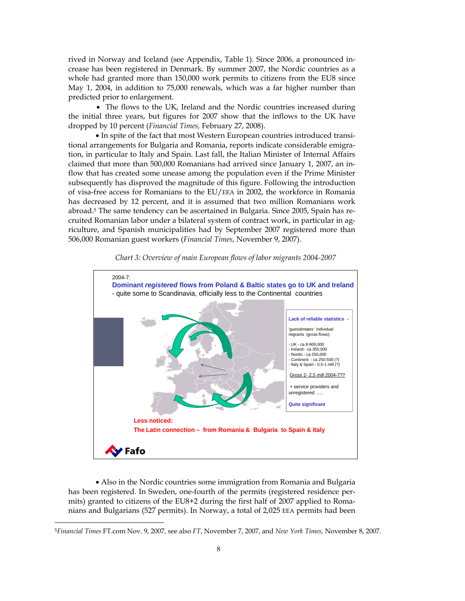rived in Norway and Iceland (see Appendix, Table 1). Since 2006, a pronounced increase has been registered in Denmark. By summer 2007, the Nordic countries as a whole had granted more than 150,000 work permits to citizens from the EU8 since May 1, 2004, in addition to 75,000 renewals, which was a far higher number than predicted prior to enlargement.

• The flows to the UK, Ireland and the Nordic countries increased during the initial three years, but figures for 2007 show that the inflows to the UK have dropped by 10 percent (*Financial Times,* February 27, 2008).

• In spite of the fact that most Western European countries introduced transitional arrangements for Bulgaria and Romania, reports indicate considerable emigration, in particular to Italy and Spain. Last fall, the Italian Minister of Internal Affairs claimed that more than 500,000 Romanians had arrived since January 1, 2007, an inflow that has created some unease among the population even if the Prime Minister subsequently has disproved the magnitude of this figure. Following the introduction of visa-free access for Romanians to the EU/EEA in 2002, the workforce in Romania has decreased by 12 percent, and it is assumed that two million Romanians work abroad.5 The same tendency can be ascertained in Bulgaria. Since 2005, Spain has recruited Romanian labor under a bilateral system of contract work, in particular in agriculture, and Spanish municipalities had by September 2007 registered more than 506,000 Romanian guest workers (*Financial Times,* November 9, 2007).



*Chart 3: Overview of main European flows of labor migrants 2004-2007* 

• Also in the Nordic countries some immigration from Romania and Bulgaria has been registered. In Sweden, one-fourth of the permits (registered residence permits) granted to citizens of the EU8+2 during the first half of 2007 applied to Romanians and Bulgarians (527 permits). In Norway, a total of 2,025 EEA permits had been

<sup>5</sup>*Financial Times* FT.com Nov. 9, 2007, see also *FT*, November 7, 2007, and *New York Times,* November 8, 2007.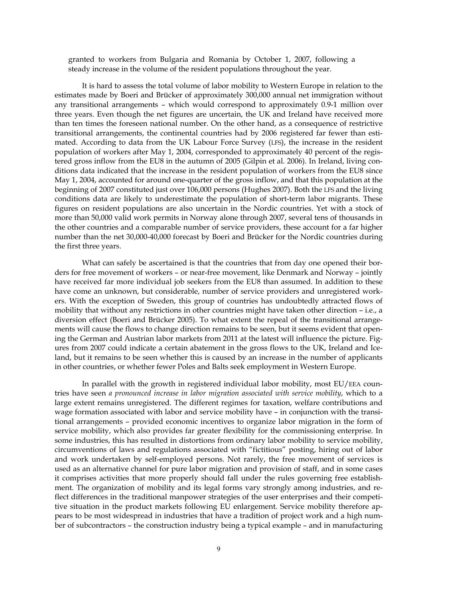granted to workers from Bulgaria and Romania by October 1, 2007, following a steady increase in the volume of the resident populations throughout the year.

 It is hard to assess the total volume of labor mobility to Western Europe in relation to the estimates made by Boeri and Brücker of approximately 300,000 annual net immigration without any transitional arrangements – which would correspond to approximately 0.9-1 million over three years. Even though the net figures are uncertain, the UK and Ireland have received more than ten times the foreseen national number. On the other hand, as a consequence of restrictive transitional arrangements, the continental countries had by 2006 registered far fewer than estimated. According to data from the UK Labour Force Survey (LFS), the increase in the resident population of workers after May 1, 2004, corresponded to approximately 40 percent of the registered gross inflow from the EU8 in the autumn of 2005 (Gilpin et al. 2006). In Ireland, living conditions data indicated that the increase in the resident population of workers from the EU8 since May 1, 2004, accounted for around one-quarter of the gross inflow, and that this population at the beginning of 2007 constituted just over 106,000 persons (Hughes 2007). Both the LFS and the living conditions data are likely to underestimate the population of short-term labor migrants. These figures on resident populations are also uncertain in the Nordic countries. Yet with a stock of more than 50,000 valid work permits in Norway alone through 2007, several tens of thousands in the other countries and a comparable number of service providers, these account for a far higher number than the net 30,000-40,000 forecast by Boeri and Brücker for the Nordic countries during the first three years.

 What can safely be ascertained is that the countries that from day one opened their borders for free movement of workers – or near-free movement, like Denmark and Norway – jointly have received far more individual job seekers from the EU8 than assumed. In addition to these have come an unknown, but considerable, number of service providers and unregistered workers. With the exception of Sweden, this group of countries has undoubtedly attracted flows of mobility that without any restrictions in other countries might have taken other direction – i.e., a diversion effect (Boeri and Brücker 2005). To what extent the repeal of the transitional arrangements will cause the flows to change direction remains to be seen, but it seems evident that opening the German and Austrian labor markets from 2011 at the latest will influence the picture. Figures from 2007 could indicate a certain abatement in the gross flows to the UK, Ireland and Iceland, but it remains to be seen whether this is caused by an increase in the number of applicants in other countries, or whether fewer Poles and Balts seek employment in Western Europe.

 In parallel with the growth in registered individual labor mobility, most EU/EEA countries have seen *a pronounced increase in labor migration associated with service mobility*, which to a large extent remains unregistered. The different regimes for taxation, welfare contributions and wage formation associated with labor and service mobility have – in conjunction with the transitional arrangements – provided economic incentives to organize labor migration in the form of service mobility, which also provides far greater flexibility for the commissioning enterprise. In some industries, this has resulted in distortions from ordinary labor mobility to service mobility, circumventions of laws and regulations associated with "fictitious" posting, hiring out of labor and work undertaken by self-employed persons. Not rarely, the free movement of services is used as an alternative channel for pure labor migration and provision of staff, and in some cases it comprises activities that more properly should fall under the rules governing free establishment. The organization of mobility and its legal forms vary strongly among industries, and reflect differences in the traditional manpower strategies of the user enterprises and their competitive situation in the product markets following EU enlargement. Service mobility therefore appears to be most widespread in industries that have a tradition of project work and a high number of subcontractors – the construction industry being a typical example – and in manufacturing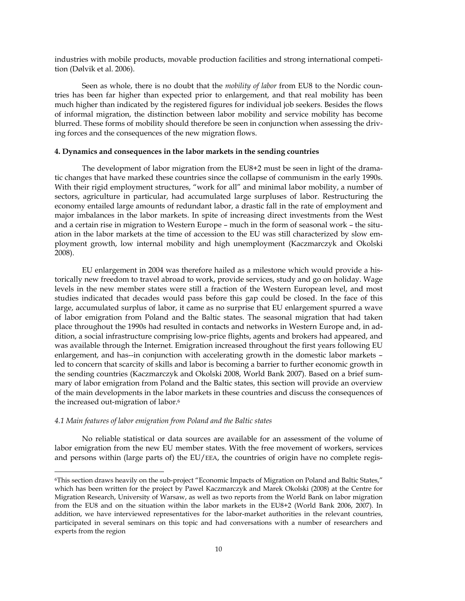industries with mobile products, movable production facilities and strong international competition (Dølvik et al. 2006).

 Seen as whole, there is no doubt that the *mobility of labor* from EU8 to the Nordic countries has been far higher than expected prior to enlargement, and that real mobility has been much higher than indicated by the registered figures for individual job seekers. Besides the flows of informal migration, the distinction between labor mobility and service mobility has become blurred. These forms of mobility should therefore be seen in conjunction when assessing the driving forces and the consequences of the new migration flows.

# **4. Dynamics and consequences in the labor markets in the sending countries**

 The development of labor migration from the EU8+2 must be seen in light of the dramatic changes that have marked these countries since the collapse of communism in the early 1990s. With their rigid employment structures, "work for all" and minimal labor mobility, a number of sectors, agriculture in particular, had accumulated large surpluses of labor. Restructuring the economy entailed large amounts of redundant labor, a drastic fall in the rate of employment and major imbalances in the labor markets. In spite of increasing direct investments from the West and a certain rise in migration to Western Europe – much in the form of seasonal work – the situation in the labor markets at the time of accession to the EU was still characterized by slow employment growth, low internal mobility and high unemployment (Kaczmarczyk and Okolski 2008).

 EU enlargement in 2004 was therefore hailed as a milestone which would provide a historically new freedom to travel abroad to work, provide services, study and go on holiday. Wage levels in the new member states were still a fraction of the Western European level, and most studies indicated that decades would pass before this gap could be closed. In the face of this large, accumulated surplus of labor, it came as no surprise that EU enlargement spurred a wave of labor emigration from Poland and the Baltic states. The seasonal migration that had taken place throughout the 1990s had resulted in contacts and networks in Western Europe and, in addition, a social infrastructure comprising low-price flights, agents and brokers had appeared, and was available through the Internet. Emigration increased throughout the first years following EU enlargement, and has--in conjunction with accelerating growth in the domestic labor markets – led to concern that scarcity of skills and labor is becoming a barrier to further economic growth in the sending countries (Kaczmarczyk and Okolski 2008, World Bank 2007). Based on a brief summary of labor emigration from Poland and the Baltic states, this section will provide an overview of the main developments in the labor markets in these countries and discuss the consequences of the increased out-migration of labor.6

# *4.1 Main features of labor emigration from Poland and the Baltic states*

 No reliable statistical or data sources are available for an assessment of the volume of labor emigration from the new EU member states. With the free movement of workers, services and persons within (large parts of) the EU/EEA, the countries of origin have no complete regis-

<sup>6</sup>This section draws heavily on the sub-project "Economic Impacts of Migration on Poland and Baltic States," which has been written for the project by Pawel Kaczmarczyk and Marek Okolski (2008) at the Centre for Migration Research, University of Warsaw, as well as two reports from the World Bank on labor migration from the EU8 and on the situation within the labor markets in the EU8+2 (World Bank 2006, 2007). In addition, we have interviewed representatives for the labor-market authorities in the relevant countries, participated in several seminars on this topic and had conversations with a number of researchers and experts from the region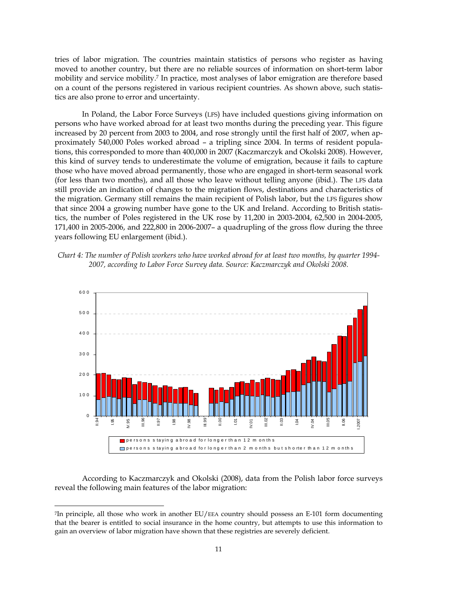tries of labor migration. The countries maintain statistics of persons who register as having moved to another country, but there are no reliable sources of information on short-term labor mobility and service mobility.7 In practice, most analyses of labor emigration are therefore based on a count of the persons registered in various recipient countries. As shown above, such statistics are also prone to error and uncertainty.

 In Poland, the Labor Force Surveys (LFS) have included questions giving information on persons who have worked abroad for at least two months during the preceding year. This figure increased by 20 percent from 2003 to 2004, and rose strongly until the first half of 2007, when approximately 540,000 Poles worked abroad – a tripling since 2004. In terms of resident populations, this corresponded to more than 400,000 in 2007 (Kaczmarczyk and Okolski 2008). However, this kind of survey tends to underestimate the volume of emigration, because it fails to capture those who have moved abroad permanently, those who are engaged in short-term seasonal work (for less than two months), and all those who leave without telling anyone (ibid.). The LFS data still provide an indication of changes to the migration flows, destinations and characteristics of the migration. Germany still remains the main recipient of Polish labor, but the LFS figures show that since 2004 a growing number have gone to the UK and Ireland. According to British statistics, the number of Poles registered in the UK rose by 11,200 in 2003-2004, 62,500 in 2004-2005, 171,400 in 2005-2006, and 222,800 in 2006-2007– a quadrupling of the gross flow during the three years following EU enlargement (ibid.).





 According to Kaczmarczyk and Okolski (2008), data from the Polish labor force surveys reveal the following main features of the labor migration:

<sup>7</sup>In principle, all those who work in another EU/EEA country should possess an E-101 form documenting that the bearer is entitled to social insurance in the home country, but attempts to use this information to gain an overview of labor migration have shown that these registries are severely deficient.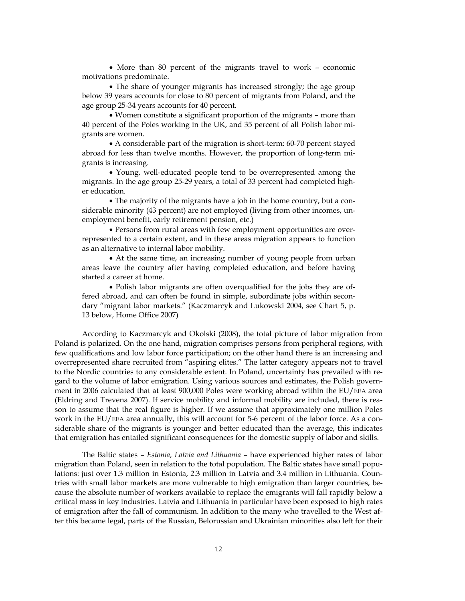• More than 80 percent of the migrants travel to work – economic motivations predominate.

• The share of younger migrants has increased strongly; the age group below 39 years accounts for close to 80 percent of migrants from Poland, and the age group 25-34 years accounts for 40 percent.

• Women constitute a significant proportion of the migrants – more than 40 percent of the Poles working in the UK, and 35 percent of all Polish labor migrants are women.

• A considerable part of the migration is short-term: 60-70 percent stayed abroad for less than twelve months. However, the proportion of long-term migrants is increasing.

• Young, well-educated people tend to be overrepresented among the migrants. In the age group 25-29 years, a total of 33 percent had completed higher education.

• The majority of the migrants have a job in the home country, but a considerable minority (43 percent) are not employed (living from other incomes, unemployment benefit, early retirement pension, etc.)

• Persons from rural areas with few employment opportunities are overrepresented to a certain extent, and in these areas migration appears to function as an alternative to internal labor mobility.

• At the same time, an increasing number of young people from urban areas leave the country after having completed education, and before having started a career at home.

• Polish labor migrants are often overqualified for the jobs they are offered abroad, and can often be found in simple, subordinate jobs within secondary "migrant labor markets." (Kaczmarcyk and Lukowski 2004, see Chart 5, p. 13 below, Home Office 2007)

 According to Kaczmarcyk and Okolski (2008), the total picture of labor migration from Poland is polarized. On the one hand, migration comprises persons from peripheral regions, with few qualifications and low labor force participation; on the other hand there is an increasing and overrepresented share recruited from "aspiring elites." The latter category appears not to travel to the Nordic countries to any considerable extent. In Poland, uncertainty has prevailed with regard to the volume of labor emigration. Using various sources and estimates, the Polish government in 2006 calculated that at least 900,000 Poles were working abroad within the EU/EEA area (Eldring and Trevena 2007). If service mobility and informal mobility are included, there is reason to assume that the real figure is higher. If we assume that approximately one million Poles work in the EU/EEA area annually, this will account for 5-6 percent of the labor force. As a considerable share of the migrants is younger and better educated than the average, this indicates that emigration has entailed significant consequences for the domestic supply of labor and skills.

 The Baltic states – *Estonia, Latvia and Lithuania* – have experienced higher rates of labor migration than Poland, seen in relation to the total population. The Baltic states have small populations: just over 1.3 million in Estonia, 2.3 million in Latvia and 3.4 million in Lithuania. Countries with small labor markets are more vulnerable to high emigration than larger countries, because the absolute number of workers available to replace the emigrants will fall rapidly below a critical mass in key industries. Latvia and Lithuania in particular have been exposed to high rates of emigration after the fall of communism. In addition to the many who travelled to the West after this became legal, parts of the Russian, Belorussian and Ukrainian minorities also left for their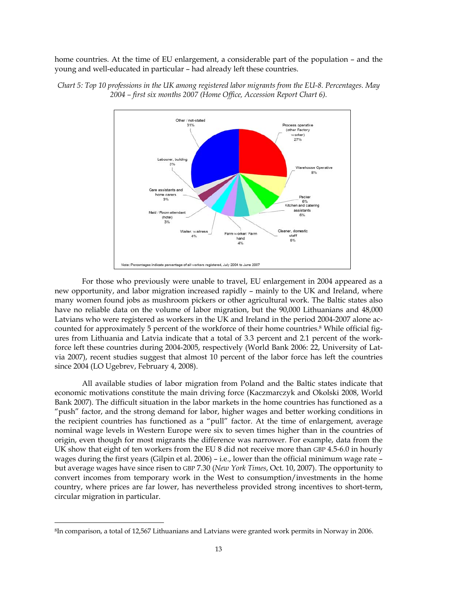home countries. At the time of EU enlargement, a considerable part of the population – and the young and well-educated in particular – had already left these countries.



*Chart 5: Top 10 professions in the UK among registered labor migrants from the EU-8. Percentages. May 2004 – first six months 2007 (Home Office, Accession Report Chart 6).* 

 For those who previously were unable to travel, EU enlargement in 2004 appeared as a new opportunity, and labor migration increased rapidly – mainly to the UK and Ireland, where many women found jobs as mushroom pickers or other agricultural work. The Baltic states also have no reliable data on the volume of labor migration, but the 90,000 Lithuanians and 48,000 Latvians who were registered as workers in the UK and Ireland in the period 2004-2007 alone accounted for approximately 5 percent of the workforce of their home countries.8 While official figures from Lithuania and Latvia indicate that a total of 3.3 percent and 2.1 percent of the workforce left these countries during 2004-2005, respectively (World Bank 2006: 22, University of Latvia 2007), recent studies suggest that almost 10 percent of the labor force has left the countries since 2004 (LO Ugebrev, February 4, 2008).

 All available studies of labor migration from Poland and the Baltic states indicate that economic motivations constitute the main driving force (Kaczmarczyk and Okolski 2008, World Bank 2007). The difficult situation in the labor markets in the home countries has functioned as a "push" factor, and the strong demand for labor, higher wages and better working conditions in the recipient countries has functioned as a "pull" factor. At the time of enlargement, average nominal wage levels in Western Europe were six to seven times higher than in the countries of origin, even though for most migrants the difference was narrower. For example, data from the UK show that eight of ten workers from the EU 8 did not receive more than GBP 4.5-6.0 in hourly wages during the first years (Gilpin et al. 2006) – i.e., lower than the official minimum wage rate – but average wages have since risen to GBP 7.30 (*New York Times*, Oct. 10, 2007). The opportunity to convert incomes from temporary work in the West to consumption/investments in the home country, where prices are far lower, has nevertheless provided strong incentives to short-term, circular migration in particular.

<sup>8</sup>In comparison, a total of 12,567 Lithuanians and Latvians were granted work permits in Norway in 2006.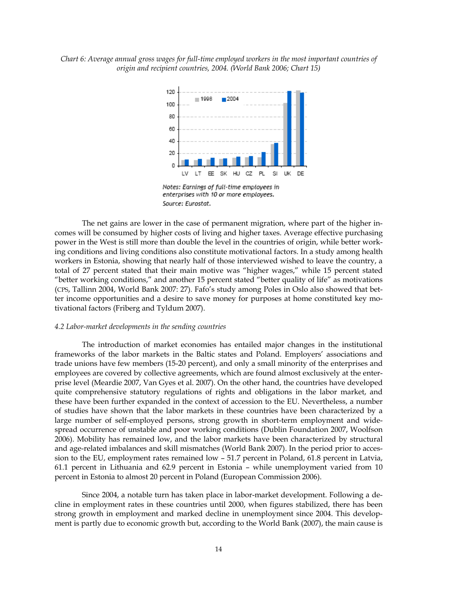*Chart 6: Average annual gross wages for full-time employed workers in the most important countries of origin and recipient countries, 2004. (World Bank 2006; Chart 15)* 



Notes: Earnings of full-time employees in enterprises with 10 or more employees. Source: Eurostat.

The net gains are lower in the case of permanent migration, where part of the higher incomes will be consumed by higher costs of living and higher taxes. Average effective purchasing power in the West is still more than double the level in the countries of origin, while better working conditions and living conditions also constitute motivational factors. In a study among health workers in Estonia, showing that nearly half of those interviewed wished to leave the country, a total of 27 percent stated that their main motive was "higher wages," while 15 percent stated "better working conditions," and another 15 percent stated "better quality of life" as motivations (CPS, Tallinn 2004, World Bank 2007: 27). Fafo's study among Poles in Oslo also showed that better income opportunities and a desire to save money for purposes at home constituted key motivational factors (Friberg and Tyldum 2007).

#### *4.2 Labor-market developments in the sending countries*

 The introduction of market economies has entailed major changes in the institutional frameworks of the labor markets in the Baltic states and Poland. Employers' associations and trade unions have few members (15-20 percent), and only a small minority of the enterprises and employees are covered by collective agreements, which are found almost exclusively at the enterprise level (Meardie 2007, Van Gyes et al. 2007). On the other hand, the countries have developed quite comprehensive statutory regulations of rights and obligations in the labor market, and these have been further expanded in the context of accession to the EU. Nevertheless, a number of studies have shown that the labor markets in these countries have been characterized by a large number of self-employed persons, strong growth in short-term employment and widespread occurrence of unstable and poor working conditions (Dublin Foundation 2007, Woolfson 2006). Mobility has remained low, and the labor markets have been characterized by structural and age-related imbalances and skill mismatches (World Bank 2007). In the period prior to accession to the EU, employment rates remained low – 51.7 percent in Poland, 61.8 percent in Latvia, 61.1 percent in Lithuania and 62.9 percent in Estonia – while unemployment varied from 10 percent in Estonia to almost 20 percent in Poland (European Commission 2006).

 Since 2004, a notable turn has taken place in labor-market development. Following a decline in employment rates in these countries until 2000, when figures stabilized, there has been strong growth in employment and marked decline in unemployment since 2004. This development is partly due to economic growth but, according to the World Bank (2007), the main cause is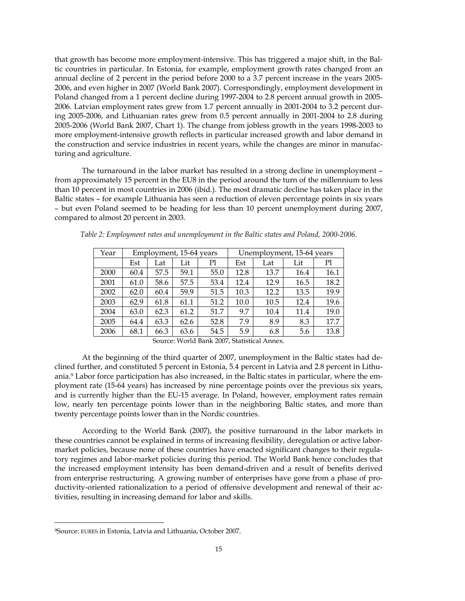that growth has become more employment-intensive. This has triggered a major shift, in the Baltic countries in particular. In Estonia, for example, employment growth rates changed from an annual decline of 2 percent in the period before 2000 to a 3.7 percent increase in the years 2005- 2006, and even higher in 2007 (World Bank 2007). Correspondingly, employment development in Poland changed from a 1 percent decline during 1997-2004 to 2.8 percent annual growth in 2005- 2006. Latvian employment rates grew from 1.7 percent annually in 2001-2004 to 3.2 percent during 2005-2006, and Lithuanian rates grew from 0.5 percent annually in 2001-2004 to 2.8 during 2005-2006 (World Bank 2007, Chart 1). The change from jobless growth in the years 1998-2003 to more employment-intensive growth reflects in particular increased growth and labor demand in the construction and service industries in recent years, while the changes are minor in manufacturing and agriculture.

 The turnaround in the labor market has resulted in a strong decline in unemployment – from approximately 15 percent in the EU8 in the period around the turn of the millennium to less than 10 percent in most countries in 2006 (ibid.). The most dramatic decline has taken place in the Baltic states – for example Lithuania has seen a reduction of eleven percentage points in six years – but even Poland seemed to be heading for less than 10 percent unemployment during 2007, compared to almost 20 percent in 2003.

| Year | Employment, 15-64 years |      |      | Unemployment, 15-64 years |      |      |      |      |
|------|-------------------------|------|------|---------------------------|------|------|------|------|
|      | Est                     | Lat  | Lit  | Pl                        | Est  | Lat  | Lit  | Pl   |
| 2000 | 60.4                    | 57.5 | 59.1 | 55.0                      | 12.8 | 13.7 | 16.4 | 16.1 |
| 2001 | 61.0                    | 58.6 | 57.5 | 53.4                      | 12.4 | 12.9 | 16.5 | 18.2 |
| 2002 | 62.0                    | 60.4 | 59.9 | 51.5                      | 10.3 | 12.2 | 13.5 | 19.9 |
| 2003 | 62.9                    | 61.8 | 61.1 | 51.2                      | 10.0 | 10.5 | 12.4 | 19.6 |
| 2004 | 63.0                    | 62.3 | 61.2 | 51.7                      | 9.7  | 10.4 | 11.4 | 19.0 |
| 2005 | 64.4                    | 63.3 | 62.6 | 52.8                      | 7.9  | 8.9  | 8.3  | 17.7 |
| 2006 | 68.1                    | 66.3 | 63.6 | 54.5                      | 5.9  | 6.8  | 5.6  | 13.8 |

| Table 2: Employment rates and unemployment in the Baltic states and Poland, 2000-2006. |  |  |
|----------------------------------------------------------------------------------------|--|--|
|                                                                                        |  |  |

 At the beginning of the third quarter of 2007, unemployment in the Baltic states had declined further, and constituted 5 percent in Estonia, 5.4 percent in Latvia and 2.8 percent in Lithuania.9 Labor force participation has also increased, in the Baltic states in particular, where the employment rate (15-64 years) has increased by nine percentage points over the previous six years, and is currently higher than the EU-15 average. In Poland, however, employment rates remain low, nearly ten percentage points lower than in the neighboring Baltic states, and more than twenty percentage points lower than in the Nordic countries.

 According to the World Bank (2007), the positive turnaround in the labor markets in these countries cannot be explained in terms of increasing flexibility, deregulation or active labormarket policies, because none of these countries have enacted significant changes to their regulatory regimes and labor-market policies during this period. The World Bank hence concludes that the increased employment intensity has been demand-driven and a result of benefits derived from enterprise restructuring. A growing number of enterprises have gone from a phase of productivity-oriented rationalization to a period of offensive development and renewal of their activities, resulting in increasing demand for labor and skills.

Source: World Bank 2007, Statistical Annex.

<sup>9</sup>Source: EURES in Estonia, Latvia and Lithuania, October 2007.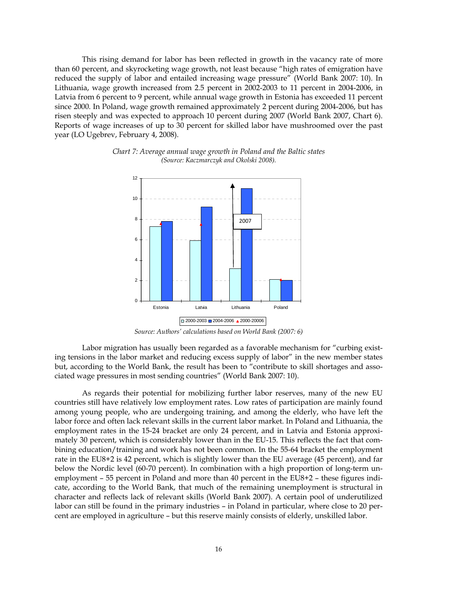This rising demand for labor has been reflected in growth in the vacancy rate of more than 60 percent, and skyrocketing wage growth, not least because "high rates of emigration have reduced the supply of labor and entailed increasing wage pressure" (World Bank 2007: 10). In Lithuania, wage growth increased from 2.5 percent in 2002-2003 to 11 percent in 2004-2006, in Latvia from 6 percent to 9 percent, while annual wage growth in Estonia has exceeded 11 percent since 2000. In Poland, wage growth remained approximately 2 percent during 2004-2006, but has risen steeply and was expected to approach 10 percent during 2007 (World Bank 2007, Chart 6). Reports of wage increases of up to 30 percent for skilled labor have mushroomed over the past year (LO Ugebrev, February 4, 2008).



*Chart 7: Average annual wage growth in Poland and the Baltic states (Source: Kaczmarczyk and Okolski 2008).* 

*Source: Authors' calculations based on World Bank (2007: 6)*

 Labor migration has usually been regarded as a favorable mechanism for "curbing existing tensions in the labor market and reducing excess supply of labor" in the new member states but, according to the World Bank, the result has been to "contribute to skill shortages and associated wage pressures in most sending countries" (World Bank 2007: 10).

 As regards their potential for mobilizing further labor reserves, many of the new EU countries still have relatively low employment rates. Low rates of participation are mainly found among young people, who are undergoing training, and among the elderly, who have left the labor force and often lack relevant skills in the current labor market. In Poland and Lithuania, the employment rates in the 15-24 bracket are only 24 percent, and in Latvia and Estonia approximately 30 percent, which is considerably lower than in the EU-15. This reflects the fact that combining education/training and work has not been common. In the 55-64 bracket the employment rate in the EU8+2 is 42 percent, which is slightly lower than the EU average (45 percent), and far below the Nordic level (60-70 percent). In combination with a high proportion of long-term unemployment – 55 percent in Poland and more than 40 percent in the EU8+2 – these figures indicate, according to the World Bank, that much of the remaining unemployment is structural in character and reflects lack of relevant skills (World Bank 2007). A certain pool of underutilized labor can still be found in the primary industries – in Poland in particular, where close to 20 percent are employed in agriculture – but this reserve mainly consists of elderly, unskilled labor.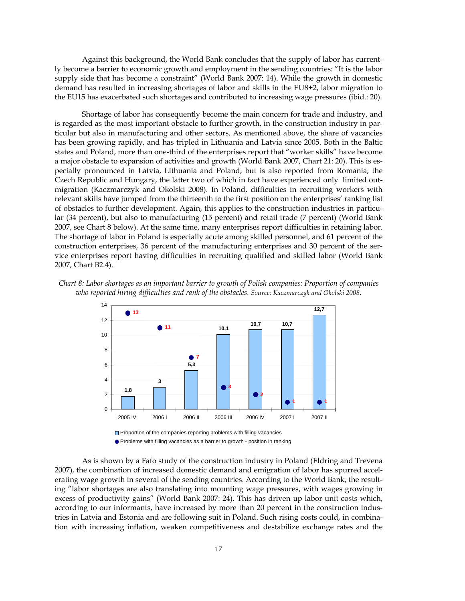Against this background, the World Bank concludes that the supply of labor has currently become a barrier to economic growth and employment in the sending countries: "It is the labor supply side that has become a constraint" (World Bank 2007: 14). While the growth in domestic demand has resulted in increasing shortages of labor and skills in the EU8+2, labor migration to the EU15 has exacerbated such shortages and contributed to increasing wage pressures (ibid.: 20).

 Shortage of labor has consequently become the main concern for trade and industry, and is regarded as the most important obstacle to further growth, in the construction industry in particular but also in manufacturing and other sectors. As mentioned above, the share of vacancies has been growing rapidly, and has tripled in Lithuania and Latvia since 2005. Both in the Baltic states and Poland, more than one-third of the enterprises report that "worker skills" have become a major obstacle to expansion of activities and growth (World Bank 2007, Chart 21: 20). This is especially pronounced in Latvia, Lithuania and Poland, but is also reported from Romania, the Czech Republic and Hungary, the latter two of which in fact have experienced only limited outmigration (Kaczmarczyk and Okolski 2008). In Poland, difficulties in recruiting workers with relevant skills have jumped from the thirteenth to the first position on the enterprises' ranking list of obstacles to further development. Again, this applies to the construction industries in particular (34 percent), but also to manufacturing (15 percent) and retail trade (7 percent) (World Bank 2007, see Chart 8 below). At the same time, many enterprises report difficulties in retaining labor. The shortage of labor in Poland is especially acute among skilled personnel, and 61 percent of the construction enterprises, 36 percent of the manufacturing enterprises and 30 percent of the service enterprises report having difficulties in recruiting qualified and skilled labor (World Bank 2007, Chart B2.4).





 As is shown by a Fafo study of the construction industry in Poland (Eldring and Trevena 2007), the combination of increased domestic demand and emigration of labor has spurred accelerating wage growth in several of the sending countries. According to the World Bank, the resulting "labor shortages are also translating into mounting wage pressures, with wages growing in excess of productivity gains" (World Bank 2007: 24). This has driven up labor unit costs which, according to our informants, have increased by more than 20 percent in the construction industries in Latvia and Estonia and are following suit in Poland. Such rising costs could, in combination with increasing inflation, weaken competitiveness and destabilize exchange rates and the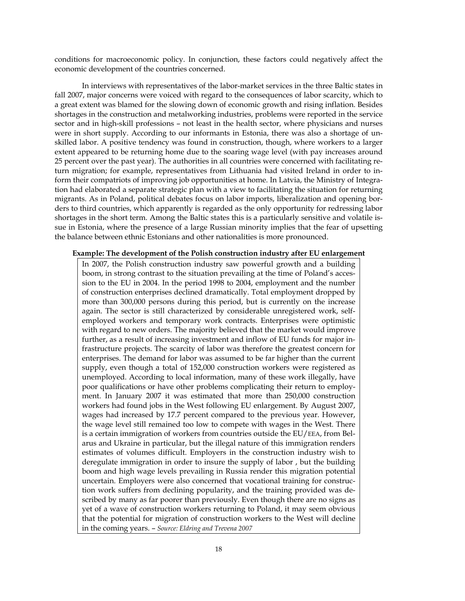conditions for macroeconomic policy. In conjunction, these factors could negatively affect the economic development of the countries concerned.

 In interviews with representatives of the labor-market services in the three Baltic states in fall 2007, major concerns were voiced with regard to the consequences of labor scarcity, which to a great extent was blamed for the slowing down of economic growth and rising inflation. Besides shortages in the construction and metalworking industries, problems were reported in the service sector and in high-skill professions – not least in the health sector, where physicians and nurses were in short supply. According to our informants in Estonia, there was also a shortage of unskilled labor. A positive tendency was found in construction, though, where workers to a larger extent appeared to be returning home due to the soaring wage level (with pay increases around 25 percent over the past year). The authorities in all countries were concerned with facilitating return migration; for example, representatives from Lithuania had visited Ireland in order to inform their compatriots of improving job opportunities at home. In Latvia, the Ministry of Integration had elaborated a separate strategic plan with a view to facilitating the situation for returning migrants. As in Poland, political debates focus on labor imports, liberalization and opening borders to third countries, which apparently is regarded as the only opportunity for redressing labor shortages in the short term. Among the Baltic states this is a particularly sensitive and volatile issue in Estonia, where the presence of a large Russian minority implies that the fear of upsetting the balance between ethnic Estonians and other nationalities is more pronounced.

#### **Example: The development of the Polish construction industry after EU enlargement**

In 2007, the Polish construction industry saw powerful growth and a building boom, in strong contrast to the situation prevailing at the time of Poland's accession to the EU in 2004. In the period 1998 to 2004, employment and the number of construction enterprises declined dramatically. Total employment dropped by more than 300,000 persons during this period, but is currently on the increase again. The sector is still characterized by considerable unregistered work, selfemployed workers and temporary work contracts. Enterprises were optimistic with regard to new orders. The majority believed that the market would improve further, as a result of increasing investment and inflow of EU funds for major infrastructure projects. The scarcity of labor was therefore the greatest concern for enterprises. The demand for labor was assumed to be far higher than the current supply, even though a total of 152,000 construction workers were registered as unemployed. According to local information, many of these work illegally, have poor qualifications or have other problems complicating their return to employment. In January 2007 it was estimated that more than 250,000 construction workers had found jobs in the West following EU enlargement. By August 2007, wages had increased by 17.7 percent compared to the previous year. However, the wage level still remained too low to compete with wages in the West. There is a certain immigration of workers from countries outside the EU/EEA, from Belarus and Ukraine in particular, but the illegal nature of this immigration renders estimates of volumes difficult. Employers in the construction industry wish to deregulate immigration in order to insure the supply of labor , but the building boom and high wage levels prevailing in Russia render this migration potential uncertain. Employers were also concerned that vocational training for construction work suffers from declining popularity, and the training provided was described by many as far poorer than previously. Even though there are no signs as yet of a wave of construction workers returning to Poland, it may seem obvious that the potential for migration of construction workers to the West will decline in the coming years. – *Source: Eldring and Trevena 2007*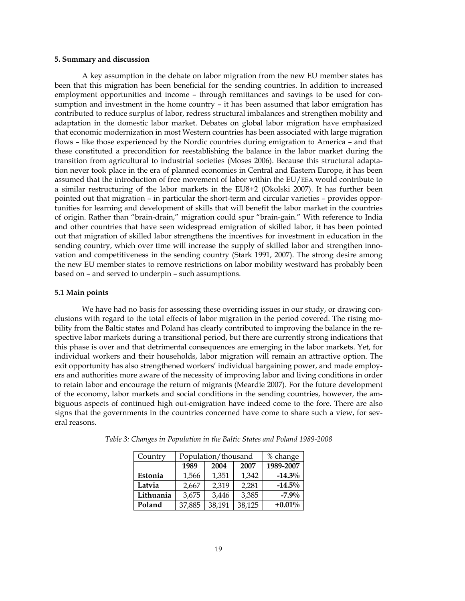# **5. Summary and discussion**

 A key assumption in the debate on labor migration from the new EU member states has been that this migration has been beneficial for the sending countries. In addition to increased employment opportunities and income – through remittances and savings to be used for consumption and investment in the home country – it has been assumed that labor emigration has contributed to reduce surplus of labor, redress structural imbalances and strengthen mobility and adaptation in the domestic labor market. Debates on global labor migration have emphasized that economic modernization in most Western countries has been associated with large migration flows – like those experienced by the Nordic countries during emigration to America – and that these constituted a precondition for reestablishing the balance in the labor market during the transition from agricultural to industrial societies (Moses 2006). Because this structural adaptation never took place in the era of planned economies in Central and Eastern Europe, it has been assumed that the introduction of free movement of labor within the EU/EEA would contribute to a similar restructuring of the labor markets in the EU8+2 (Okolski 2007). It has further been pointed out that migration – in particular the short-term and circular varieties – provides opportunities for learning and development of skills that will benefit the labor market in the countries of origin. Rather than "brain-drain," migration could spur "brain-gain." With reference to India and other countries that have seen widespread emigration of skilled labor, it has been pointed out that migration of skilled labor strengthens the incentives for investment in education in the sending country, which over time will increase the supply of skilled labor and strengthen innovation and competitiveness in the sending country (Stark 1991, 2007). The strong desire among the new EU member states to remove restrictions on labor mobility westward has probably been based on – and served to underpin – such assumptions.

#### **5.1 Main points**

 We have had no basis for assessing these overriding issues in our study, or drawing conclusions with regard to the total effects of labor migration in the period covered. The rising mobility from the Baltic states and Poland has clearly contributed to improving the balance in the respective labor markets during a transitional period, but there are currently strong indications that this phase is over and that detrimental consequences are emerging in the labor markets. Yet, for individual workers and their households, labor migration will remain an attractive option. The exit opportunity has also strengthened workers' individual bargaining power, and made employers and authorities more aware of the necessity of improving labor and living conditions in order to retain labor and encourage the return of migrants (Meardie 2007). For the future development of the economy, labor markets and social conditions in the sending countries, however, the ambiguous aspects of continued high out-emigration have indeed come to the fore. There are also signs that the governments in the countries concerned have come to share such a view, for several reasons.

| Country   | Population/thousand  | % change |           |           |
|-----------|----------------------|----------|-----------|-----------|
|           | 1989<br>2007<br>2004 |          | 1989-2007 |           |
| Estonia   | 1,566                | 1,351    | 1,342     | $-14.3\%$ |
| Latvia    | 2,667                | 2,319    | 2,281     | $-14.5\%$ |
| Lithuania | 3,675                | 3,446    | 3,385     | $-7.9%$   |
| Poland    | 37,885               | 38,191   | 38,125    | $+0.01%$  |

*Table 3: Changes in Population in the Baltic States and Poland 1989-2008*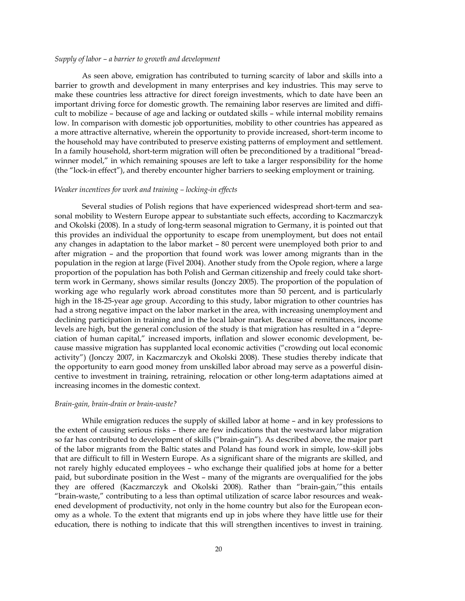#### *Supply of labor – a barrier to growth and development*

 As seen above, emigration has contributed to turning scarcity of labor and skills into a barrier to growth and development in many enterprises and key industries. This may serve to make these countries less attractive for direct foreign investments, which to date have been an important driving force for domestic growth. The remaining labor reserves are limited and difficult to mobilize – because of age and lacking or outdated skills – while internal mobility remains low. In comparison with domestic job opportunities, mobility to other countries has appeared as a more attractive alternative, wherein the opportunity to provide increased, short-term income to the household may have contributed to preserve existing patterns of employment and settlement. In a family household, short-term migration will often be preconditioned by a traditional "breadwinner model," in which remaining spouses are left to take a larger responsibility for the home (the "lock-in effect"), and thereby encounter higher barriers to seeking employment or training.

#### *Weaker incentives for work and training – locking-in effects*

 Several studies of Polish regions that have experienced widespread short-term and seasonal mobility to Western Europe appear to substantiate such effects, according to Kaczmarczyk and Okolski (2008). In a study of long-term seasonal migration to Germany, it is pointed out that this provides an individual the opportunity to escape from unemployment, but does not entail any changes in adaptation to the labor market – 80 percent were unemployed both prior to and after migration – and the proportion that found work was lower among migrants than in the population in the region at large (Fivel 2004). Another study from the Opole region, where a large proportion of the population has both Polish and German citizenship and freely could take shortterm work in Germany, shows similar results (Jonczy 2005). The proportion of the population of working age who regularly work abroad constitutes more than 50 percent, and is particularly high in the 18-25-year age group. According to this study, labor migration to other countries has had a strong negative impact on the labor market in the area, with increasing unemployment and declining participation in training and in the local labor market. Because of remittances, income levels are high, but the general conclusion of the study is that migration has resulted in a "depreciation of human capital," increased imports, inflation and slower economic development, because massive migration has supplanted local economic activities ("crowding out local economic activity") (Jonczy 2007, in Kaczmarczyk and Okolski 2008). These studies thereby indicate that the opportunity to earn good money from unskilled labor abroad may serve as a powerful disincentive to investment in training, retraining, relocation or other long-term adaptations aimed at increasing incomes in the domestic context.

#### *Brain-gain, brain-drain or brain-waste?*

 While emigration reduces the supply of skilled labor at home – and in key professions to the extent of causing serious risks – there are few indications that the westward labor migration so far has contributed to development of skills ("brain-gain"). As described above, the major part of the labor migrants from the Baltic states and Poland has found work in simple, low-skill jobs that are difficult to fill in Western Europe. As a significant share of the migrants are skilled, and not rarely highly educated employees – who exchange their qualified jobs at home for a better paid, but subordinate position in the West – many of the migrants are overqualified for the jobs they are offered (Kaczmarczyk and Okolski 2008). Rather than "brain-gain,'"this entails "brain-waste," contributing to a less than optimal utilization of scarce labor resources and weakened development of productivity, not only in the home country but also for the European economy as a whole. To the extent that migrants end up in jobs where they have little use for their education, there is nothing to indicate that this will strengthen incentives to invest in training.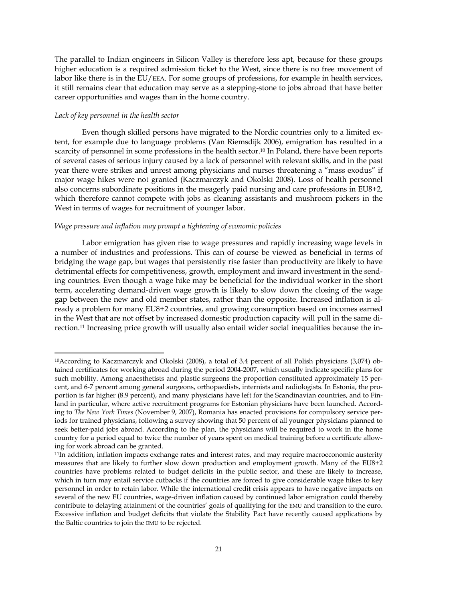The parallel to Indian engineers in Silicon Valley is therefore less apt, because for these groups higher education is a required admission ticket to the West, since there is no free movement of labor like there is in the EU/EEA. For some groups of professions, for example in health services, it still remains clear that education may serve as a stepping-stone to jobs abroad that have better career opportunities and wages than in the home country.

#### *Lack of key personnel in the health sector*

 Even though skilled persons have migrated to the Nordic countries only to a limited extent, for example due to language problems (Van Riemsdijk 2006), emigration has resulted in a scarcity of personnel in some professions in the health sector.<sup>10</sup> In Poland, there have been reports of several cases of serious injury caused by a lack of personnel with relevant skills, and in the past year there were strikes and unrest among physicians and nurses threatening a "mass exodus" if major wage hikes were not granted (Kaczmarczyk and Okolski 2008). Loss of health personnel also concerns subordinate positions in the meagerly paid nursing and care professions in EU8+2, which therefore cannot compete with jobs as cleaning assistants and mushroom pickers in the West in terms of wages for recruitment of younger labor.

# *Wage pressure and inflation may prompt a tightening of economic policies*

 Labor emigration has given rise to wage pressures and rapidly increasing wage levels in a number of industries and professions. This can of course be viewed as beneficial in terms of bridging the wage gap, but wages that persistently rise faster than productivity are likely to have detrimental effects for competitiveness, growth, employment and inward investment in the sending countries. Even though a wage hike may be beneficial for the individual worker in the short term, accelerating demand-driven wage growth is likely to slow down the closing of the wage gap between the new and old member states, rather than the opposite. Increased inflation is already a problem for many EU8+2 countries, and growing consumption based on incomes earned in the West that are not offset by increased domestic production capacity will pull in the same direction.11 Increasing price growth will usually also entail wider social inequalities because the in-

<sup>10</sup>According to Kaczmarczyk and Okolski (2008), a total of 3.4 percent of all Polish physicians (3,074) obtained certificates for working abroad during the period 2004-2007, which usually indicate specific plans for such mobility. Among anaesthetists and plastic surgeons the proportion constituted approximately 15 percent, and 6-7 percent among general surgeons, orthopaedists, internists and radiologists. In Estonia, the proportion is far higher (8.9 percent), and many physicians have left for the Scandinavian countries, and to Finland in particular, where active recruitment programs for Estonian physicians have been launched. According to *The New York Times* (November 9, 2007), Romania has enacted provisions for compulsory service periods for trained physicians, following a survey showing that 50 percent of all younger physicians planned to seek better-paid jobs abroad. According to the plan, the physicians will be required to work in the home country for a period equal to twice the number of years spent on medical training before a certificate allowing for work abroad can be granted.

<sup>11</sup>In addition, inflation impacts exchange rates and interest rates, and may require macroeconomic austerity measures that are likely to further slow down production and employment growth. Many of the EU8+2 countries have problems related to budget deficits in the public sector, and these are likely to increase, which in turn may entail service cutbacks if the countries are forced to give considerable wage hikes to key personnel in order to retain labor. While the international credit crisis appears to have negative impacts on several of the new EU countries, wage-driven inflation caused by continued labor emigration could thereby contribute to delaying attainment of the countries' goals of qualifying for the EMU and transition to the euro. Excessive inflation and budget deficits that violate the Stability Pact have recently caused applications by the Baltic countries to join the EMU to be rejected.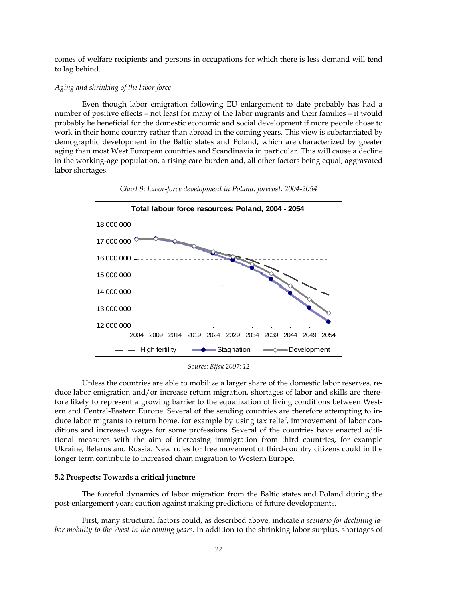comes of welfare recipients and persons in occupations for which there is less demand will tend to lag behind.

# *Aging and shrinking of the labor force*

 Even though labor emigration following EU enlargement to date probably has had a number of positive effects – not least for many of the labor migrants and their families – it would probably be beneficial for the domestic economic and social development if more people chose to work in their home country rather than abroad in the coming years. This view is substantiated by demographic development in the Baltic states and Poland, which are characterized by greater aging than most West European countries and Scandinavia in particular. This will cause a decline in the working-age population, a rising care burden and, all other factors being equal, aggravated labor shortages.



*Chart 9: Labor-force development in Poland: forecast, 2004-2054* 

*Source: Bijak 2007: 12* 

 Unless the countries are able to mobilize a larger share of the domestic labor reserves, reduce labor emigration and/or increase return migration, shortages of labor and skills are therefore likely to represent a growing barrier to the equalization of living conditions between Western and Central-Eastern Europe. Several of the sending countries are therefore attempting to induce labor migrants to return home, for example by using tax relief, improvement of labor conditions and increased wages for some professions. Several of the countries have enacted additional measures with the aim of increasing immigration from third countries, for example Ukraine, Belarus and Russia. New rules for free movement of third-country citizens could in the longer term contribute to increased chain migration to Western Europe.

# **5.2 Prospects: Towards a critical juncture**

 The forceful dynamics of labor migration from the Baltic states and Poland during the post-enlargement years caution against making predictions of future developments.

 First, many structural factors could, as described above, indicate *a scenario for declining labor mobility to the West in the coming years*. In addition to the shrinking labor surplus, shortages of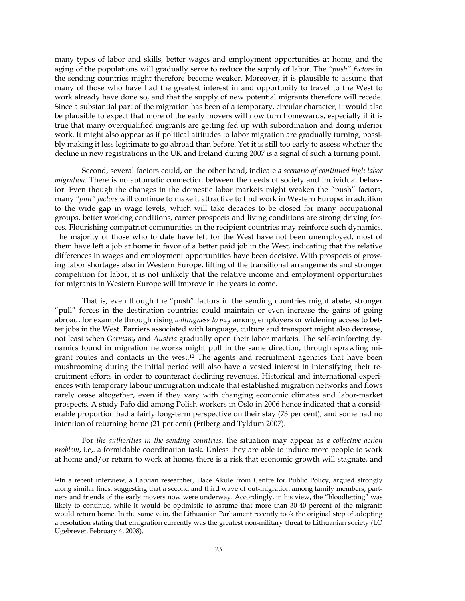many types of labor and skills, better wages and employment opportunities at home, and the aging of the populations will gradually serve to reduce the supply of labor. The *"push" factors* in the sending countries might therefore become weaker. Moreover, it is plausible to assume that many of those who have had the greatest interest in and opportunity to travel to the West to work already have done so, and that the supply of new potential migrants therefore will recede. Since a substantial part of the migration has been of a temporary, circular character, it would also be plausible to expect that more of the early movers will now turn homewards, especially if it is true that many overqualified migrants are getting fed up with subordination and doing inferior work. It might also appear as if political attitudes to labor migration are gradually turning, possibly making it less legitimate to go abroad than before. Yet it is still too early to assess whether the decline in new registrations in the UK and Ireland during 2007 is a signal of such a turning point.

 Second, several factors could, on the other hand, indicate *a scenario of continued high labor migration.* There is no automatic connection between the needs of society and individual behavior. Even though the changes in the domestic labor markets might weaken the "push" factors, many *"pull" factors* will continue to make it attractive to find work in Western Europe: in addition to the wide gap in wage levels, which will take decades to be closed for many occupational groups, better working conditions, career prospects and living conditions are strong driving forces. Flourishing compatriot communities in the recipient countries may reinforce such dynamics. The majority of those who to date have left for the West have not been unemployed, most of them have left a job at home in favor of a better paid job in the West, indicating that the relative differences in wages and employment opportunities have been decisive. With prospects of growing labor shortages also in Western Europe, lifting of the transitional arrangements and stronger competition for labor, it is not unlikely that the relative income and employment opportunities for migrants in Western Europe will improve in the years to come.

 That is, even though the "push" factors in the sending countries might abate, stronger "pull" forces in the destination countries could maintain or even increase the gains of going abroad, for example through rising *willingness to pay* among employers or widening access to better jobs in the West. Barriers associated with language, culture and transport might also decrease, not least when *Germany* and *Austria* gradually open their labor markets. The self-reinforcing dynamics found in migration networks might pull in the same direction, through sprawling migrant routes and contacts in the west.12 The agents and recruitment agencies that have been mushrooming during the initial period will also have a vested interest in intensifying their recruitment efforts in order to counteract declining revenues. Historical and international experiences with temporary labour immigration indicate that established migration networks and flows rarely cease altogether, even if they vary with changing economic climates and labor-market prospects. A study Fafo did among Polish workers in Oslo in 2006 hence indicated that a considerable proportion had a fairly long-term perspective on their stay (73 per cent), and some had no intention of returning home (21 per cent) (Friberg and Tyldum 2007).

 For *the authorities in the sending countries*, the situation may appear as *a collective action problem*, i.e,. a formidable coordination task. Unless they are able to induce more people to work at home and/or return to work at home, there is a risk that economic growth will stagnate, and

<sup>12</sup>In a recent interview, a Latvian researcher, Dace Akule from Centre for Public Policy, argued strongly along similar lines, suggesting that a second and third wave of out-migration among family members, partners and friends of the early movers now were underway. Accordingly, in his view, the "bloodletting" was likely to continue, while it would be optimistic to assume that more than 30-40 percent of the migrants would return home. In the same vein, the Lithuanian Parliament recently took the original step of adopting a resolution stating that emigration currently was the greatest non-military threat to Lithuanian society (LO Ugebrevet, February 4, 2008).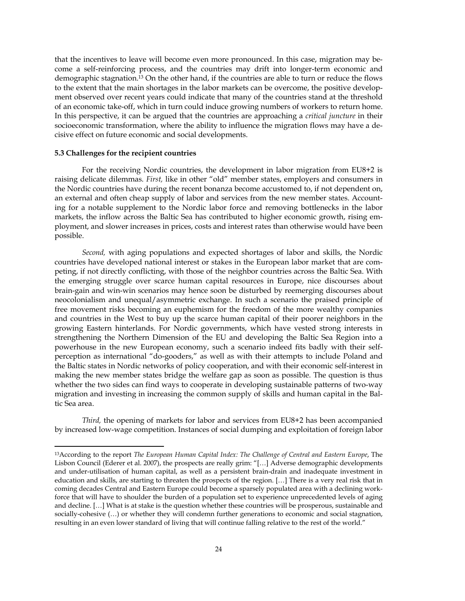that the incentives to leave will become even more pronounced. In this case, migration may become a self-reinforcing process, and the countries may drift into longer-term economic and demographic stagnation.13 On the other hand, if the countries are able to turn or reduce the flows to the extent that the main shortages in the labor markets can be overcome, the positive development observed over recent years could indicate that many of the countries stand at the threshold of an economic take-off, which in turn could induce growing numbers of workers to return home. In this perspective, it can be argued that the countries are approaching a *critical juncture* in their socioeconomic transformation, where the ability to influence the migration flows may have a decisive effect on future economic and social developments.

#### **5.3 Challenges for the recipient countries**

 For the receiving Nordic countries, the development in labor migration from EU8+2 is raising delicate dilemmas. *First,* like in other "old" member states, employers and consumers in the Nordic countries have during the recent bonanza become accustomed to, if not dependent on, an external and often cheap supply of labor and services from the new member states. Accounting for a notable supplement to the Nordic labor force and removing bottlenecks in the labor markets, the inflow across the Baltic Sea has contributed to higher economic growth, rising employment, and slower increases in prices, costs and interest rates than otherwise would have been possible.

 *Second,* with aging populations and expected shortages of labor and skills, the Nordic countries have developed national interest or stakes in the European labor market that are competing, if not directly conflicting, with those of the neighbor countries across the Baltic Sea. With the emerging struggle over scarce human capital resources in Europe, nice discourses about brain-gain and win-win scenarios may hence soon be disturbed by reemerging discourses about neocolonialism and unequal/asymmetric exchange. In such a scenario the praised principle of free movement risks becoming an euphemism for the freedom of the more wealthy companies and countries in the West to buy up the scarce human capital of their poorer neighbors in the growing Eastern hinterlands. For Nordic governments, which have vested strong interests in strengthening the Northern Dimension of the EU and developing the Baltic Sea Region into a powerhouse in the new European economy, such a scenario indeed fits badly with their selfperception as international "do-gooders," as well as with their attempts to include Poland and the Baltic states in Nordic networks of policy cooperation, and with their economic self-interest in making the new member states bridge the welfare gap as soon as possible. The question is thus whether the two sides can find ways to cooperate in developing sustainable patterns of two-way migration and investing in increasing the common supply of skills and human capital in the Baltic Sea area.

*Third*, the opening of markets for labor and services from EU8+2 has been accompanied by increased low-wage competition. Instances of social dumping and exploitation of foreign labor

<sup>13</sup>According to the report *The European Human Capital Index: The Challenge of Central and Eastern Europe*, The Lisbon Council (Ederer et al. 2007), the prospects are really grim: "[…] Adverse demographic developments and under-utilisation of human capital, as well as a persistent brain-drain and inadequate investment in education and skills, are starting to threaten the prospects of the region. […] There is a very real risk that in coming decades Central and Eastern Europe could become a sparsely populated area with a declining workforce that will have to shoulder the burden of a population set to experience unprecedented levels of aging and decline. […] What is at stake is the question whether these countries will be prosperous, sustainable and socially-cohesive (…) or whether they will condemn further generations to economic and social stagnation, resulting in an even lower standard of living that will continue falling relative to the rest of the world."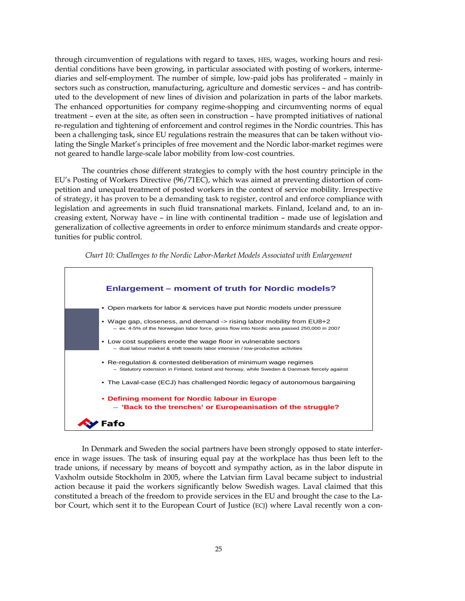through circumvention of regulations with regard to taxes, HES, wages, working hours and residential conditions have been growing, in particular associated with posting of workers, intermediaries and self-employment. The number of simple, low-paid jobs has proliferated – mainly in sectors such as construction, manufacturing, agriculture and domestic services – and has contributed to the development of new lines of division and polarization in parts of the labor markets. The enhanced opportunities for company regime-shopping and circumventing norms of equal treatment – even at the site, as often seen in construction – have prompted initiatives of national re-regulation and tightening of enforcement and control regimes in the Nordic countries. This has been a challenging task, since EU regulations restrain the measures that can be taken without violating the Single Market's principles of free movement and the Nordic labor-market regimes were not geared to handle large-scale labor mobility from low-cost countries.

 The countries chose different strategies to comply with the host country principle in the EU's Posting of Workers Directive (96/71EC), which was aimed at preventing distortion of competition and unequal treatment of posted workers in the context of service mobility. Irrespective of strategy, it has proven to be a demanding task to register, control and enforce compliance with legislation and agreements in such fluid transnational markets. Finland, Iceland and, to an increasing extent, Norway have – in line with continental tradition – made use of legislation and generalization of collective agreements in order to enforce minimum standards and create opportunities for public control.



*Chart 10: Challenges to the Nordic Labor-Market Models Associated with Enlargement* 

 In Denmark and Sweden the social partners have been strongly opposed to state interference in wage issues. The task of insuring equal pay at the workplace has thus been left to the trade unions, if necessary by means of boycott and sympathy action, as in the labor dispute in Vaxholm outside Stockholm in 2005, where the Latvian firm Laval became subject to industrial action because it paid the workers significantly below Swedish wages. Laval claimed that this constituted a breach of the freedom to provide services in the EU and brought the case to the Labor Court, which sent it to the European Court of Justice (ECJ) where Laval recently won a con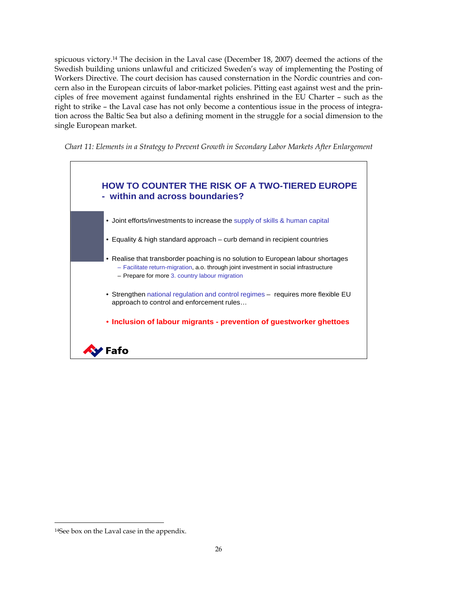spicuous victory.14 The decision in the Laval case (December 18, 2007) deemed the actions of the Swedish building unions unlawful and criticized Sweden's way of implementing the Posting of Workers Directive. The court decision has caused consternation in the Nordic countries and concern also in the European circuits of labor-market policies. Pitting east against west and the principles of free movement against fundamental rights enshrined in the EU Charter – such as the right to strike – the Laval case has not only become a contentious issue in the process of integration across the Baltic Sea but also a defining moment in the struggle for a social dimension to the single European market.

*Chart 11: Elements in a Strategy to Prevent Growth in Secondary Labor Markets After Enlargement* 



<sup>14</sup>See box on the Laval case in the appendix.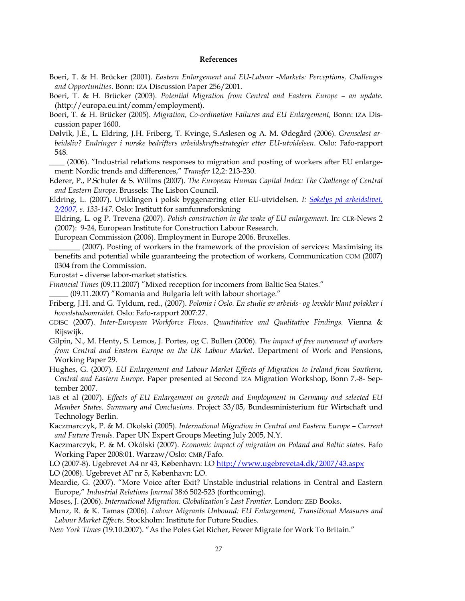#### **References**

- Boeri, T. & H. Brücker (2001). *Eastern Enlargement and EU-Labour -Markets: Perceptions, Challenges and Opportunities*. Bonn: IZA Discussion Paper 256/2001.
- Boeri, T. & H. Brücker (2003). *Potential Migration from Central and Eastern Europe an update.* (http://europa.eu.int/comm/employment).
- Boeri, T. & H. Brücker (2005). *Migration, Co-ordination Failures and EU Enlargement,* Bonn: IZA Discussion paper 1600.
- Dølvik, J.E., L. Eldring, J.H. Friberg, T. Kvinge, S.Aslesen og A. M. Ødegård (2006)*. Grenseløst arbeidsliv? Endringer i norske bedrifters arbeidskraftsstrategier etter EU-utvidelsen*. Oslo: Fafo-rapport 548.

\_\_\_\_ (2006). "Industrial relations responses to migration and posting of workers after EU enlargement: Nordic trends and differences," *Transfer* 12,2: 213-230.

Ederer, P., P.Schuler & S. Willms (2007). *The European Human Capital Index: The Challenge of Central and Eastern Europe.* Brussels: The Lisbon Council.

Eldring, L. (2007). Uviklingen i polsk byggenæring etter EU-utvidelsen. *I: Søkelys på arbeidslivet, 2/2007, s. 133-147.* Oslo: Institutt for samfunnsforskning

Eldring, L. og P. Trevena (2007). *Polish construction in the wake of EU enlargement*. In: CLR-News 2 (2007): 9-24, European Institute for Construction Labour Research.

European Commission (2006). Employment in Europe 2006. Bruxelles.

\_\_\_\_\_\_\_\_ (2007). Posting of workers in the framework of the provision of services: Maximising its benefits and potential while guaranteeing the protection of workers, Communication COM (2007) 0304 from the Commission.

Eurostat – diverse labor-market statistics.

*Financial Times* (09.11.2007) "Mixed reception for incomers from Baltic Sea States."

- *\_\_\_\_\_* (09.11.2007) "Romania and Bulgaria left with labour shortage."
- Friberg, J.H. and G. Tyldum, red., (2007). *Polonia i Oslo. En studie av arbeids- og levekår blant polakker i hovedstadsområdet.* Oslo: Fafo-rapport 2007:27.
- GDISC (2007). *Inter-European Workforce Flows. Quantitative and Qualitative Findings.* Vienna & Rijswijk.
- Gilpin, N., M. Henty, S. Lemos, J. Portes, og C. Bullen (2006). *The impact of free movement of workers from Central and Eastern Europe on the UK Labour Market*. Department of Work and Pensions, Working Paper 29.
- Hughes, G. (2007). *EU Enlargement and Labour Market Effects of Migration to Ireland from Southern, Central and Eastern Europe.* Paper presented at Second IZA Migration Workshop, Bonn 7.-8- September 2007.
- IAB et al (2007). *Effects of EU Enlargement on growth and Employment in Germany and selected EU Member States. Summary and Conclusions.* Project 33/05, Bundesministerium für Wirtschaft und Technology Berlin.
- Kaczmarczyk, P. & M. Okolski (2005). *International Migration in Central and Eastern Europe Current and Future Trends.* Paper UN Expert Groups Meeting July 2005, N.Y.
- Kaczmarczyk, P. & M. Okólski (2007). *Economic impact of migration on Poland and Baltic states.* Fafo Working Paper 2008:01. Warzaw/Oslo: CMR/Fafo.

LO (2007-8). Ugebrevet A4 nr 43, København: LO http://www.ugebreveta4.dk/2007/43.aspx

LO (2008). Ugebrevet AF nr 5, København: LO.

- Meardie, G. (2007). "More Voice after Exit? Unstable industrial relations in Central and Eastern Europe," *Industrial Relations Journal* 38:6 502-523 (forthcoming).
- Moses, J. (2006). *International Migration. Globalization's Last Frontier.* London: ZED Books.

Munz, R. & K. Tamas (2006). *Labour Migrants Unbound: EU Enlargement, Transitional Measures and Labour Market Effects.* Stockholm: Institute for Future Studies.

*New York Times* (19.10.2007). "As the Poles Get Richer, Fewer Migrate for Work To Britain."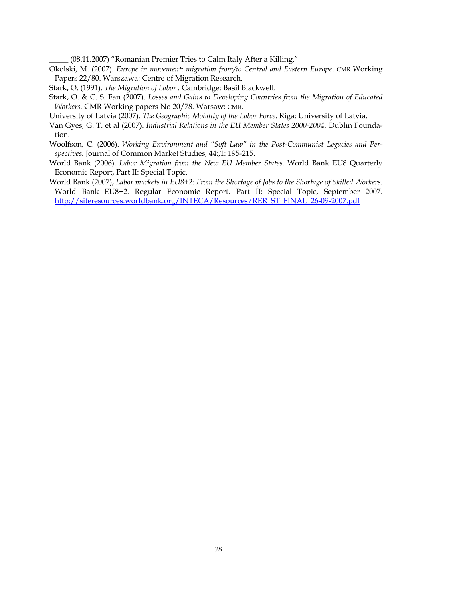*\_\_\_\_\_* (08.11.2007) "Romanian Premier Tries to Calm Italy After a Killing."

- Okolski, M. (2007). *Europe in movement: migration from/to Central and Eastern Europe*. CMR Working Papers 22/80. Warszawa: Centre of Migration Research.
- Stark, O. (1991). *The Migration of Labor .* Cambridge: Basil Blackwell.
- Stark, O. & C. S. Fan (2007). *Losses and Gains to Developing Countries from the Migration of Educated Workers.* CMR Working papers No 20/78. Warsaw: CMR.

University of Latvia (2007). *The Geographic Mobility of the Labor Force*. Riga: University of Latvia.

- Van Gyes, G. T. et al (2007). *Industrial Relations in the EU Member States 2000-2004*. Dublin Foundation.
- Woolfson, C. (2006). *Working Environment and "Soft Law" in the Post-Communist Legacies and Perspectives.* Journal of Common Market Studies, 44:,1: 195-215.
- World Bank (2006). *Labor Migration from the New EU Member States.* World Bank EU8 Quarterly Economic Report, Part II: Special Topic.
- World Bank (2007), *Labor markets in EU8+2: From the Shortage of Jobs to the Shortage of Skilled Workers.* World Bank EU8+2. Regular Economic Report. Part II: Special Topic, September 2007. http://siteresources.worldbank.org/INTECA/Resources/RER\_ST\_FINAL\_26-09-2007.pdf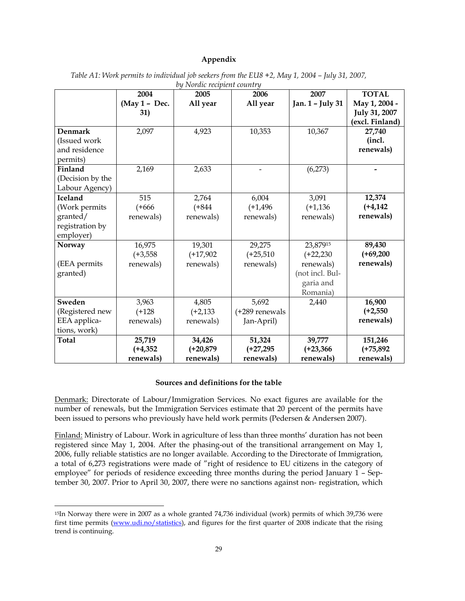#### **Appendix**

|                  | 2004          | 2007         | <b>TOTAL</b>   |                  |                 |
|------------------|---------------|--------------|----------------|------------------|-----------------|
|                  | (May 1 - Dec. | 2005         | 2006           | Jan. 1 - July 31 | May 1, 2004 -   |
|                  |               | All year     | All year       |                  |                 |
|                  | 31)           |              |                |                  | July 31, 2007   |
|                  |               |              |                |                  | (excl. Finland) |
| Denmark          | 2,097         | 4,923        | 10,353         | 10,367           | 27,740          |
| (Issued work     |               |              |                |                  | (incl.          |
| and residence    |               |              |                |                  | renewals)       |
| permits)         |               |              |                |                  |                 |
| Finland          | 2,169         | 2,633        |                | (6,273)          |                 |
| (Decision by the |               |              |                |                  |                 |
| Labour Agency)   |               |              |                |                  |                 |
| Iceland          | 515           | 2,764        | 6,004          | 3,091            | 12,374          |
| (Work permits    | $(+666)$      | $(+844)$     | $(+1, 496)$    | $(+1, 136)$      | $(+4, 142)$     |
| granted/         | renewals)     | renewals)    | renewals)      | renewals)        | renewals)       |
| registration by  |               |              |                |                  |                 |
| employer)        |               |              |                |                  |                 |
| Norway           | 16,975        | 19,301       | 29,275         | 23,87915         | 89,430          |
|                  | $(+3, 558)$   | $(+17,902)$  | $(+25,510)$    | $(+22,230)$      | $(+69,200)$     |
| (EEA permits     | renewals)     | renewals)    | renewals)      | renewals)        | renewals)       |
| granted)         |               |              |                | (not incl. Bul-  |                 |
|                  |               |              |                | garia and        |                 |
|                  |               |              |                | Romania)         |                 |
| Sweden           |               | 4,805        | 5,692          |                  | 16,900          |
|                  | 3,963         |              |                | 2,440            |                 |
| (Registered new  | $(+128)$      | $(+2, 133)$  | (+289 renewals |                  | $(+2,550)$      |
| EEA applica-     | renewals)     | renewals)    | Jan-April)     |                  | renewals)       |
| tions, work)     |               |              |                |                  |                 |
| <b>Total</b>     | 25,719        | 34,426       | 51,324         | 39,777           | 151,246         |
|                  | $(+4, 352)$   | $(+20, 879)$ | $(+27, 295)$   | $(+23,366)$      | $(+75, 892)$    |
|                  | renewals)     | renewals)    | renewals)      | renewals)        | renewals)       |

*Table A1: Work permits to individual job seekers from the EU8 +2, May 1, 2004 – July 31, 2007, by Nordic recipient country* 

#### **Sources and definitions for the table**

Denmark: Directorate of Labour/Immigration Services. No exact figures are available for the number of renewals, but the Immigration Services estimate that 20 percent of the permits have been issued to persons who previously have held work permits (Pedersen & Andersen 2007).

Finland: Ministry of Labour. Work in agriculture of less than three months' duration has not been registered since May 1, 2004. After the phasing-out of the transitional arrangement on May 1, 2006, fully reliable statistics are no longer available. According to the Directorate of Immigration, a total of 6,273 registrations were made of "right of residence to EU citizens in the category of employee" for periods of residence exceeding three months during the period January 1 – September 30, 2007. Prior to April 30, 2007, there were no sanctions against non- registration, which

<sup>15</sup>In Norway there were in 2007 as a whole granted 74,736 individual (work) permits of which 39,736 were first time permits (www.udi.no/statistics), and figures for the first quarter of 2008 indicate that the rising trend is continuing.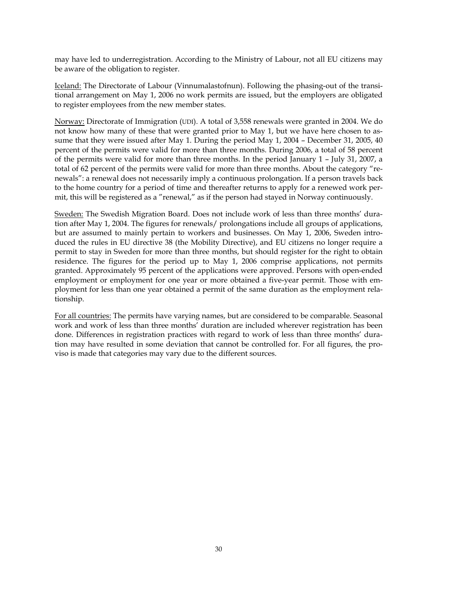may have led to underregistration. According to the Ministry of Labour, not all EU citizens may be aware of the obligation to register.

Iceland: The Directorate of Labour (Vinnumalastofnun). Following the phasing-out of the transitional arrangement on May 1, 2006 no work permits are issued, but the employers are obligated to register employees from the new member states.

Norway: Directorate of Immigration (UDI). A total of 3,558 renewals were granted in 2004. We do not know how many of these that were granted prior to May 1, but we have here chosen to assume that they were issued after May 1. During the period May 1, 2004 – December 31, 2005, 40 percent of the permits were valid for more than three months. During 2006, a total of 58 percent of the permits were valid for more than three months. In the period January 1 – July 31, 2007, a total of 62 percent of the permits were valid for more than three months. About the category "renewals": a renewal does not necessarily imply a continuous prolongation. If a person travels back to the home country for a period of time and thereafter returns to apply for a renewed work permit, this will be registered as a "renewal," as if the person had stayed in Norway continuously.

Sweden: The Swedish Migration Board. Does not include work of less than three months' duration after May 1, 2004. The figures for renewals/ prolongations include all groups of applications, but are assumed to mainly pertain to workers and businesses. On May 1, 2006, Sweden introduced the rules in EU directive 38 (the Mobility Directive), and EU citizens no longer require a permit to stay in Sweden for more than three months, but should register for the right to obtain residence. The figures for the period up to May 1, 2006 comprise applications, not permits granted. Approximately 95 percent of the applications were approved. Persons with open-ended employment or employment for one year or more obtained a five-year permit. Those with employment for less than one year obtained a permit of the same duration as the employment relationship.

For all countries: The permits have varying names, but are considered to be comparable. Seasonal work and work of less than three months' duration are included wherever registration has been done. Differences in registration practices with regard to work of less than three months' duration may have resulted in some deviation that cannot be controlled for. For all figures, the proviso is made that categories may vary due to the different sources.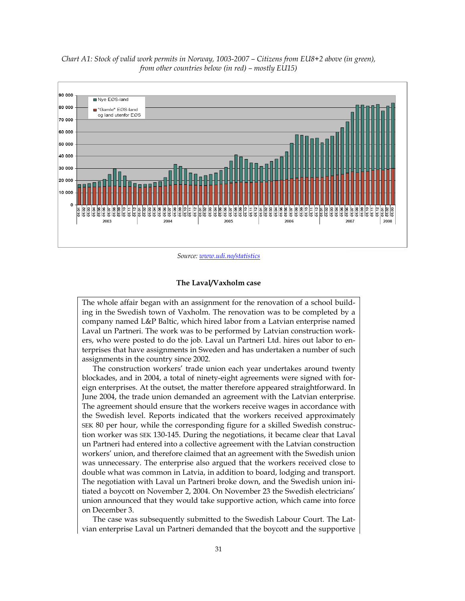

*Chart A1: Stock of valid work permits in Norway, 1003-2007 – Citizens from EU8+2 above (in green), from other countries below (in red) – mostly EU15)* 

*Source: www.udi.no/statistics*

#### **The Laval/Vaxholm case**

The whole affair began with an assignment for the renovation of a school building in the Swedish town of Vaxholm. The renovation was to be completed by a company named L&P Baltic, which hired labor from a Latvian enterprise named Laval un Partneri. The work was to be performed by Latvian construction workers, who were posted to do the job. Laval un Partneri Ltd. hires out labor to enterprises that have assignments in Sweden and has undertaken a number of such assignments in the country since 2002.

The construction workers' trade union each year undertakes around twenty blockades, and in 2004, a total of ninety-eight agreements were signed with foreign enterprises. At the outset, the matter therefore appeared straightforward. In June 2004, the trade union demanded an agreement with the Latvian enterprise. The agreement should ensure that the workers receive wages in accordance with the Swedish level. Reports indicated that the workers received approximately SEK 80 per hour, while the corresponding figure for a skilled Swedish construction worker was SEK 130-145. During the negotiations, it became clear that Laval un Partneri had entered into a collective agreement with the Latvian construction workers' union, and therefore claimed that an agreement with the Swedish union was unnecessary. The enterprise also argued that the workers received close to double what was common in Latvia, in addition to board, lodging and transport. The negotiation with Laval un Partneri broke down, and the Swedish union initiated a boycott on November 2, 2004. On November 23 the Swedish electricians' union announced that they would take supportive action, which came into force on December 3.

The case was subsequently submitted to the Swedish Labour Court. The Latvian enterprise Laval un Partneri demanded that the boycott and the supportive